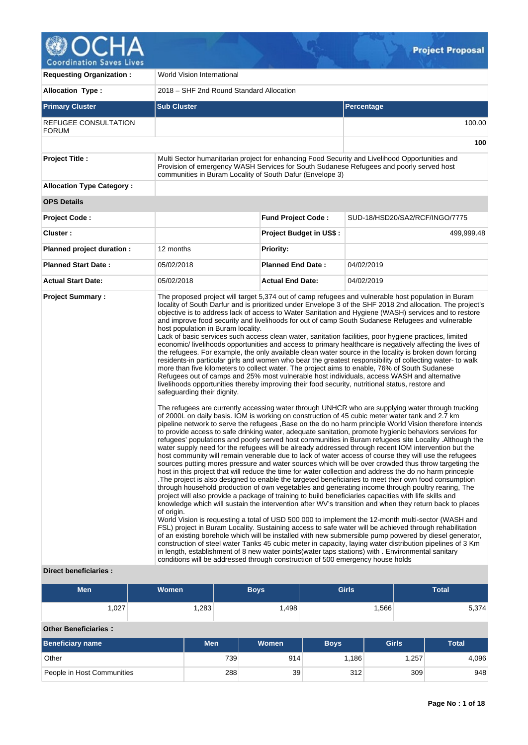

| <b>Requesting Organization:</b>                 | World Vision International                                                                                                                                                                                                                                              |                                |                                                                                                                                                                                                                                                                                                                                                                                                                                                                                                                                                                                                                                                                                                                                                                                                                                                                                                                                                                                                                                                                                                                                                                                                                                                                                                                                                                                                                                                                                                                                                                                                                                                                                                                                                                                                                                                                                                                                                                                                                                                                                                                                                                                                                                                                                                                                                                                                                                                                                                                                                                                                                                                                                                                                                                                                                                                                                                                                                                                                                                          |  |  |  |
|-------------------------------------------------|-------------------------------------------------------------------------------------------------------------------------------------------------------------------------------------------------------------------------------------------------------------------------|--------------------------------|------------------------------------------------------------------------------------------------------------------------------------------------------------------------------------------------------------------------------------------------------------------------------------------------------------------------------------------------------------------------------------------------------------------------------------------------------------------------------------------------------------------------------------------------------------------------------------------------------------------------------------------------------------------------------------------------------------------------------------------------------------------------------------------------------------------------------------------------------------------------------------------------------------------------------------------------------------------------------------------------------------------------------------------------------------------------------------------------------------------------------------------------------------------------------------------------------------------------------------------------------------------------------------------------------------------------------------------------------------------------------------------------------------------------------------------------------------------------------------------------------------------------------------------------------------------------------------------------------------------------------------------------------------------------------------------------------------------------------------------------------------------------------------------------------------------------------------------------------------------------------------------------------------------------------------------------------------------------------------------------------------------------------------------------------------------------------------------------------------------------------------------------------------------------------------------------------------------------------------------------------------------------------------------------------------------------------------------------------------------------------------------------------------------------------------------------------------------------------------------------------------------------------------------------------------------------------------------------------------------------------------------------------------------------------------------------------------------------------------------------------------------------------------------------------------------------------------------------------------------------------------------------------------------------------------------------------------------------------------------------------------------------------------------|--|--|--|
| <b>Allocation Type:</b>                         | 2018 – SHF 2nd Round Standard Allocation                                                                                                                                                                                                                                |                                |                                                                                                                                                                                                                                                                                                                                                                                                                                                                                                                                                                                                                                                                                                                                                                                                                                                                                                                                                                                                                                                                                                                                                                                                                                                                                                                                                                                                                                                                                                                                                                                                                                                                                                                                                                                                                                                                                                                                                                                                                                                                                                                                                                                                                                                                                                                                                                                                                                                                                                                                                                                                                                                                                                                                                                                                                                                                                                                                                                                                                                          |  |  |  |
| <b>Primary Cluster</b>                          | <b>Sub Cluster</b>                                                                                                                                                                                                                                                      |                                | <b>Percentage</b>                                                                                                                                                                                                                                                                                                                                                                                                                                                                                                                                                                                                                                                                                                                                                                                                                                                                                                                                                                                                                                                                                                                                                                                                                                                                                                                                                                                                                                                                                                                                                                                                                                                                                                                                                                                                                                                                                                                                                                                                                                                                                                                                                                                                                                                                                                                                                                                                                                                                                                                                                                                                                                                                                                                                                                                                                                                                                                                                                                                                                        |  |  |  |
| REFUGEE CONSULTATION<br><b>FORUM</b>            |                                                                                                                                                                                                                                                                         |                                | 100.00                                                                                                                                                                                                                                                                                                                                                                                                                                                                                                                                                                                                                                                                                                                                                                                                                                                                                                                                                                                                                                                                                                                                                                                                                                                                                                                                                                                                                                                                                                                                                                                                                                                                                                                                                                                                                                                                                                                                                                                                                                                                                                                                                                                                                                                                                                                                                                                                                                                                                                                                                                                                                                                                                                                                                                                                                                                                                                                                                                                                                                   |  |  |  |
|                                                 |                                                                                                                                                                                                                                                                         |                                | 100                                                                                                                                                                                                                                                                                                                                                                                                                                                                                                                                                                                                                                                                                                                                                                                                                                                                                                                                                                                                                                                                                                                                                                                                                                                                                                                                                                                                                                                                                                                                                                                                                                                                                                                                                                                                                                                                                                                                                                                                                                                                                                                                                                                                                                                                                                                                                                                                                                                                                                                                                                                                                                                                                                                                                                                                                                                                                                                                                                                                                                      |  |  |  |
| <b>Project Title:</b>                           | communities in Buram Locality of South Dafur (Envelope 3)                                                                                                                                                                                                               |                                | Multi Sector humanitarian project for enhancing Food Security and Livelihood Opportunities and<br>Provision of emergency WASH Services for South Sudanese Refugees and poorly served host                                                                                                                                                                                                                                                                                                                                                                                                                                                                                                                                                                                                                                                                                                                                                                                                                                                                                                                                                                                                                                                                                                                                                                                                                                                                                                                                                                                                                                                                                                                                                                                                                                                                                                                                                                                                                                                                                                                                                                                                                                                                                                                                                                                                                                                                                                                                                                                                                                                                                                                                                                                                                                                                                                                                                                                                                                                |  |  |  |
| <b>Allocation Type Category:</b>                |                                                                                                                                                                                                                                                                         |                                |                                                                                                                                                                                                                                                                                                                                                                                                                                                                                                                                                                                                                                                                                                                                                                                                                                                                                                                                                                                                                                                                                                                                                                                                                                                                                                                                                                                                                                                                                                                                                                                                                                                                                                                                                                                                                                                                                                                                                                                                                                                                                                                                                                                                                                                                                                                                                                                                                                                                                                                                                                                                                                                                                                                                                                                                                                                                                                                                                                                                                                          |  |  |  |
| <b>OPS Details</b>                              |                                                                                                                                                                                                                                                                         |                                |                                                                                                                                                                                                                                                                                                                                                                                                                                                                                                                                                                                                                                                                                                                                                                                                                                                                                                                                                                                                                                                                                                                                                                                                                                                                                                                                                                                                                                                                                                                                                                                                                                                                                                                                                                                                                                                                                                                                                                                                                                                                                                                                                                                                                                                                                                                                                                                                                                                                                                                                                                                                                                                                                                                                                                                                                                                                                                                                                                                                                                          |  |  |  |
| <b>Project Code:</b>                            |                                                                                                                                                                                                                                                                         | <b>Fund Project Code:</b>      | SUD-18/HSD20/SA2/RCF/INGO/7775                                                                                                                                                                                                                                                                                                                                                                                                                                                                                                                                                                                                                                                                                                                                                                                                                                                                                                                                                                                                                                                                                                                                                                                                                                                                                                                                                                                                                                                                                                                                                                                                                                                                                                                                                                                                                                                                                                                                                                                                                                                                                                                                                                                                                                                                                                                                                                                                                                                                                                                                                                                                                                                                                                                                                                                                                                                                                                                                                                                                           |  |  |  |
| Cluster:                                        |                                                                                                                                                                                                                                                                         | <b>Project Budget in US\$:</b> | 499,999.48                                                                                                                                                                                                                                                                                                                                                                                                                                                                                                                                                                                                                                                                                                                                                                                                                                                                                                                                                                                                                                                                                                                                                                                                                                                                                                                                                                                                                                                                                                                                                                                                                                                                                                                                                                                                                                                                                                                                                                                                                                                                                                                                                                                                                                                                                                                                                                                                                                                                                                                                                                                                                                                                                                                                                                                                                                                                                                                                                                                                                               |  |  |  |
| Planned project duration :                      | 12 months                                                                                                                                                                                                                                                               | <b>Priority:</b>               |                                                                                                                                                                                                                                                                                                                                                                                                                                                                                                                                                                                                                                                                                                                                                                                                                                                                                                                                                                                                                                                                                                                                                                                                                                                                                                                                                                                                                                                                                                                                                                                                                                                                                                                                                                                                                                                                                                                                                                                                                                                                                                                                                                                                                                                                                                                                                                                                                                                                                                                                                                                                                                                                                                                                                                                                                                                                                                                                                                                                                                          |  |  |  |
| <b>Planned Start Date:</b>                      | 05/02/2018                                                                                                                                                                                                                                                              | <b>Planned End Date:</b>       | 04/02/2019                                                                                                                                                                                                                                                                                                                                                                                                                                                                                                                                                                                                                                                                                                                                                                                                                                                                                                                                                                                                                                                                                                                                                                                                                                                                                                                                                                                                                                                                                                                                                                                                                                                                                                                                                                                                                                                                                                                                                                                                                                                                                                                                                                                                                                                                                                                                                                                                                                                                                                                                                                                                                                                                                                                                                                                                                                                                                                                                                                                                                               |  |  |  |
| <b>Actual Start Date:</b>                       | 05/02/2018                                                                                                                                                                                                                                                              | <b>Actual End Date:</b>        | 04/02/2019                                                                                                                                                                                                                                                                                                                                                                                                                                                                                                                                                                                                                                                                                                                                                                                                                                                                                                                                                                                                                                                                                                                                                                                                                                                                                                                                                                                                                                                                                                                                                                                                                                                                                                                                                                                                                                                                                                                                                                                                                                                                                                                                                                                                                                                                                                                                                                                                                                                                                                                                                                                                                                                                                                                                                                                                                                                                                                                                                                                                                               |  |  |  |
| <b>Project Summary:</b><br>Direct beneficiaries | host population in Buram locality.<br>safeguarding their dignity.<br>of origin.<br>in length, establishment of 8 new water points (water taps stations) with . Environmental sanitary<br>conditions will be addressed through construction of 500 emergency house holds |                                | The proposed project will target 5,374 out of camp refugees and vulnerable host population in Buram<br>locality of South Darfur and is prioritized under Envelope 3 of the SHF 2018 2nd allocation. The project's<br>objective is to address lack of access to Water Sanitation and Hygiene (WASH) services and to restore<br>and improve food security and livelihoods for out of camp South Sudanese Refugees and vulnerable<br>Lack of basic services such access clean water, sanitation facilities, poor hygiene practices, limited<br>economic/ livelihoods opportunities and access to primary healthcare is negatively affecting the lives of<br>the refugees. For example, the only available clean water source in the locality is broken down forcing<br>residents-in particular girls and women who bear the greatest responsibility of collecting water-to walk<br>more than five kilometers to collect water. The project aims to enable, 76% of South Sudanese<br>Refugees out of camps and 25% most vulnerable host individuals, access WASH and alternative<br>livelihoods opportunities thereby improving their food security, nutritional status, restore and<br>The refugees are currently accessing water through UNHCR who are supplying water through trucking<br>of 2000L on daily basis. IOM is working on construction of 45 cubic meter water tank and 2.7 km<br>pipeline network to serve the refugees , Base on the do no harm principle World Vision therefore intends<br>to provide access to safe drinking water, adequate sanitation, promote hygienic behaviors services for<br>refugees' populations and poorly served host communities in Buram refugees site Locality . Although the<br>water supply need for the refugees will be already addressed through recent IOM intervention but the<br>host community will remain venerable due to lack of water access of course they will use the refugees<br>sources putting mores pressure and water sources which will be over crowded thus throw targeting the<br>host in this project that will reduce the time for water collection and address the do no harm princeple<br>The project is also designed to enable the targeted beneficiaries to meet their own food consumption<br>through household production of own vegetables and generating income through poultry rearing, The<br>project will also provide a package of training to build beneficiaries capacities with life skills and<br>knowledge which will sustain the intervention after WV's transition and when they return back to places<br>World Vision is requesting a total of USD 500 000 to implement the 12-month multi-sector (WASH and<br>FSL) project in Buram Locality. Sustaining access to safe water will be achieved through rehabilitation<br>of an existing borehole which will be installed with new submersible pump powered by diesel generator,<br>construction of steel water Tanks 45 cubic meter in capacity, laying water distribution pipelines of 3 Km |  |  |  |

 $Q_{\rm b}$ 

# **Direct beneficiaries :**

| <b>Men</b> | <b>Women</b> | <b>Girls</b><br><b>Boys</b> |      | <b>Total</b> |
|------------|--------------|-----------------------------|------|--------------|
| ,027       | ,283         | ,498                        | ,566 | 5,374        |

# **Other Beneficiaries :**

| <b>Beneficiary name</b>    | <b>Women</b><br>Girls<br>Men<br><b>Boys</b> |     |      | <b>Total</b> |       |
|----------------------------|---------------------------------------------|-----|------|--------------|-------|
| Other                      | 739                                         | 914 | .186 | ,257         | 4,096 |
| People in Host Communities | 288                                         | 39  | 312  | 309          | 948   |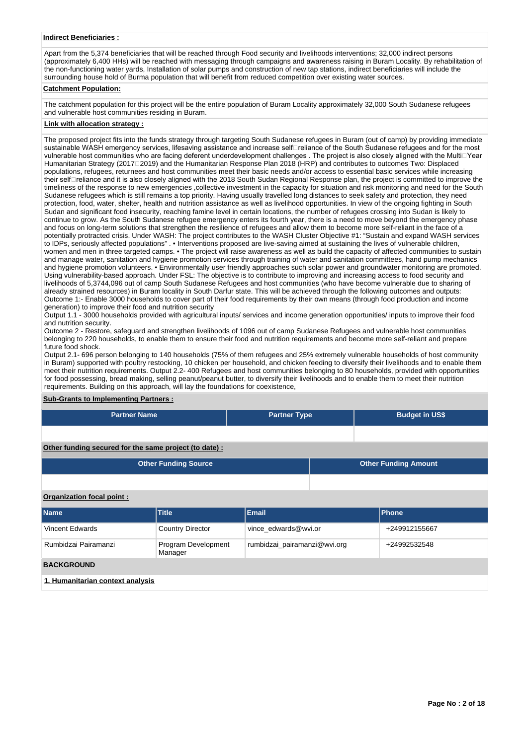## **Indirect Beneficiaries :**

Apart from the 5,374 beneficiaries that will be reached through Food security and livelihoods interventions; 32,000 indirect persons (approximately 6,400 HHs) will be reached with messaging through campaigns and awareness raising in Buram Locality. By rehabilitation of the non-functioning water yards, Installation of solar pumps and construction of new tap stations, indirect beneficiaries will include the surrounding house hold of Burma population that will benefit from reduced competition over existing water sources.

#### **Catchment Population:**

The catchment population for this project will be the entire population of Buram Locality approximately 32,000 South Sudanese refugees and vulnerable host communities residing in Buram.

## **Link with allocation strategy :**

The proposed project fits into the funds strategy through targeting South Sudanese refugees in Buram (out of camp) by providing immediate sustainable WASH emergency services, lifesaving assistance and increase selfareliance of the South Sudanese refugees and for the most vulnerable host communities who are facing deferent underdevelopment challenges . The project is also closely aligned with the MultioYear Humanitarian Strategy (201712019) and the Humanitarian Response Plan 2018 (HRP) and contributes to outcomes Two: Displaced populations, refugees, returnees and host communities meet their basic needs and/or access to essential basic services while increasing their selforeliance and it is also closely aligned with the 2018 South Sudan Regional Response plan, the project is committed to improve the timeliness of the response to new emergencies ,collective investment in the capacity for situation and risk monitoring and need for the South Sudanese refugees which is still remains a top priority. Having usually travelled long distances to seek safety and protection, they need protection, food, water, shelter, health and nutrition assistance as well as livelihood opportunities. In view of the ongoing fighting in South Sudan and significant food insecurity, reaching famine level in certain locations, the number of refugees crossing into Sudan is likely to continue to grow. As the South Sudanese refugee emergency enters its fourth year, there is a need to move beyond the emergency phase and focus on long-term solutions that strengthen the resilience of refugees and allow them to become more self-reliant in the face of a potentially protracted crisis. Under WASH: The project contributes to the WASH Cluster Objective #1: "Sustain and expand WASH services to IDPs, seriously affected populations" . • Interventions proposed are live-saving aimed at sustaining the lives of vulnerable children, women and men in three targeted camps. • The project will raise awareness as well as build the capacity of affected communities to sustain and manage water, sanitation and hygiene promotion services through training of water and sanitation committees, hand pump mechanics and hygiene promotion volunteers. • Environmentally user friendly approaches such solar power and groundwater monitoring are promoted. Using vulnerability-based approach. Under FSL: The objective is to contribute to improving and increasing access to food security and livelihoods of 5,3744,096 out of camp South Sudanese Refugees and host communities (who have become vulnerable due to sharing of already strained resources) in Buram locality in South Darfur state. This will be achieved through the following outcomes and outputs: Outcome 1:- Enable 3000 households to cover part of their food requirements by their own means (through food production and income generation) to improve their food and nutrition security

Output 1.1 - 3000 households provided with agricultural inputs/ services and income generation opportunities/ inputs to improve their food and nutrition security.

Outcome 2 - Restore, safeguard and strengthen livelihoods of 1096 out of camp Sudanese Refugees and vulnerable host communities belonging to 220 households, to enable them to ensure their food and nutrition requirements and become more self-reliant and prepare future food shock.

Output 2.1- 696 person belonging to 140 households (75% of them refugees and 25% extremely vulnerable households of host community in Buram) supported with poultry restocking, 10 chicken per household, and chicken feeding to diversify their livelihoods and to enable them meet their nutrition requirements. Output 2.2- 400 Refugees and host communities belonging to 80 households, provided with opportunities for food possessing, bread making, selling peanut/peanut butter, to diversify their livelihoods and to enable them to meet their nutrition requirements. Building on this approach, will lay the foundations for coexistence,

## **Sub-Grants to Implementing Partners :**

| <b>Partner Name</b> | <b>Partner Type</b> | <b>Budget in US\$</b> |
|---------------------|---------------------|-----------------------|
|                     |                     |                       |

**Other funding secured for the same project (to date) :**

| <b>Other Funding Source</b> | <b>Other Funding Amount</b> |
|-----------------------------|-----------------------------|
|                             |                             |

## **Organization focal point :**

| Name                             | <b>Title</b>                   | <b>Email</b>                 | <b>Phone</b>  |  |  |
|----------------------------------|--------------------------------|------------------------------|---------------|--|--|
| Vincent Edwards                  | <b>Country Director</b>        | vince edwards@wvi.or         | +249912155667 |  |  |
| Rumbidzai Pairamanzi             | Program Development<br>Manager | rumbidzai_pairamanzi@wvi.org | +24992532548  |  |  |
| <b>BACKGROUND</b>                |                                |                              |               |  |  |
| 1. Humanitarian context analysis |                                |                              |               |  |  |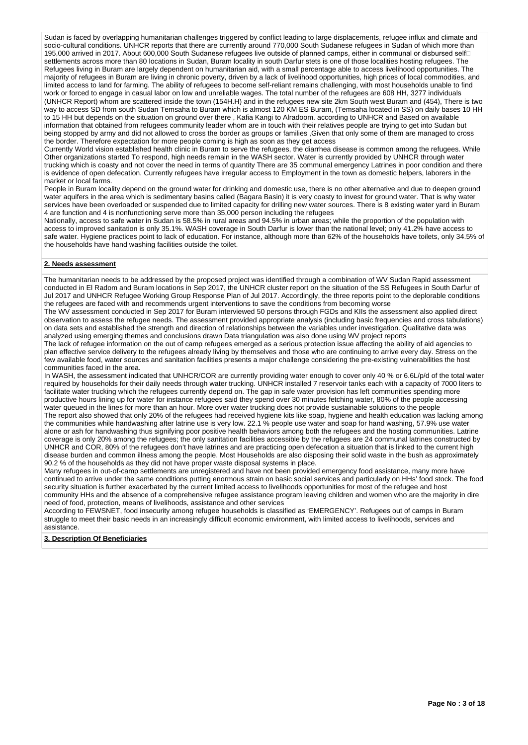Sudan is faced by overlapping humanitarian challenges triggered by conflict leading to large displacements, refugee influx and climate and socio-cultural conditions. UNHCR reports that there are currently around 770,000 South Sudanese refugees in Sudan of which more than 195,000 arrived in 2017. About 600,000 South Sudanese refugees live outside of planned camps, either in communal or disbursed self□ settlements across more than 80 locations in Sudan, Buram locality in south Darfur stets is one of those localities hosting refugees. The Refugees living in Buram are largely dependent on humanitarian aid, with a small percentage able to access livelihood opportunities. The majority of refugees in Buram are living in chronic poverty, driven by a lack of livelihood opportunities, high prices of local commodities, and limited access to land for farming. The ability of refugees to become self-reliant remains challenging, with most households unable to find work or forced to engage in casual labor on low and unreliable wages. The total number of the refugees are 608 HH, 3277 individuals (UNHCR Report) whom are scattered inside the town (154H.H) and in the refugees new site 2km South west Buram and (454), There is two way to access SD from south Sudan Temsaha to Buram which is almost 120 KM ES Buram, (Temsaha located in SS) on daily bases 10 HH to 15 HH but depends on the situation on ground over there , Kafia Kangi to Alradoom. according to UNHCR and Based on available information that obtained from refugees community leader whom are in touch with their relatives people are trying to get into Sudan but being stopped by army and did not allowed to cross the border as groups or families ,Given that only some of them are managed to cross the border. Therefore expectation for more people coming is high as soon as they get access

Currently World vision established health clinic in Buram to serve the refugees, the diarrhea disease is common among the refugees. While Other organizations started To respond, high needs remain in the WASH sector. Water is currently provided by UNHCR through water trucking which is coasty and not cover the need in terms of quantity There are 35 communal emergency Latrines in poor condition and there is evidence of open defecation. Currently refugees have irregular access to Employment in the town as domestic helpers, laborers in the market or local farms.

People in Buram locality depend on the ground water for drinking and domestic use, there is no other alternative and due to deepen ground water aquifers in the area which is sedimentary basins called (Bagara Basin) it is very coasty to invest for ground water. That is why water services have been overloaded or suspended due to limited capacity for drilling new water sources. There is 8 existing water yard in Buram 4 are function and 4 is nonfunctioning serve more than 35,000 person including the refugees

Nationally, access to safe water in Sudan is 58.5% in rural areas and 94.5% in urban areas; while the proportion of the population with access to improved sanitation is only 35.1%. WASH coverage in South Darfur is lower than the national level; only 41.2% have access to safe water. Hygiene practices point to lack of education. For instance, although more than 62% of the households have toilets, only 34.5% of the households have hand washing facilities outside the toilet.

## **2. Needs assessment**

The humanitarian needs to be addressed by the proposed project was identified through a combination of WV Sudan Rapid assessment conducted in El Radom and Buram locations in Sep 2017, the UNHCR cluster report on the situation of the SS Refugees in South Darfur of Jul 2017 and UNHCR Refugee Working Group Response Plan of Jul 2017. Accordingly, the three reports point to the deplorable conditions the refugees are faced with and recommends urgent interventions to save the conditions from becoming worse

The WV assessment conducted in Sep 2017 for Buram interviewed 50 persons through FGDs and KIIs the assessment also applied direct observation to assess the refugee needs. The assessment provided appropriate analysis (including basic frequencies and cross tabulations) on data sets and established the strength and direction of relationships between the variables under investigation. Qualitative data was analyzed using emerging themes and conclusions drawn Data triangulation was also done using WV project reports

The lack of refugee information on the out of camp refugees emerged as a serious protection issue affecting the ability of aid agencies to plan effective service delivery to the refugees already living by themselves and those who are continuing to arrive every day. Stress on the few available food, water sources and sanitation facilities presents a major challenge considering the pre-existing vulnerabilities the host communities faced in the area.

In WASH, the assessment indicated that UNHCR/COR are currently providing water enough to cover only 40 % or 6.6L/p/d of the total water required by households for their daily needs through water trucking. UNHCR installed 7 reservoir tanks each with a capacity of 7000 liters to facilitate water trucking which the refugees currently depend on. The gap in safe water provision has left communities spending more productive hours lining up for water for instance refugees said they spend over 30 minutes fetching water, 80% of the people accessing water queued in the lines for more than an hour. More over water trucking does not provide sustainable solutions to the people The report also showed that only 20% of the refugees had received hygiene kits like soap, hygiene and health education was lacking among the communities while handwashing after latrine use is very low. 22.1 % people use water and soap for hand washing, 57.9% use water alone or ash for handwashing thus signifying poor positive health behaviors among both the refugees and the hosting communities. Latrine coverage is only 20% among the refugees; the only sanitation facilities accessible by the refugees are 24 communal latrines constructed by UNHCR and COR, 80% of the refugees don't have latrines and are practicing open defecation a situation that is linked to the current high disease burden and common illness among the people. Most Households are also disposing their solid waste in the bush as approximately 90.2 % of the households as they did not have proper waste disposal systems in place.

Many refugees in out-of-camp settlements are unregistered and have not been provided emergency food assistance, many more have continued to arrive under the same conditions putting enormous strain on basic social services and particularly on HHs' food stock. The food security situation is further exacerbated by the current limited access to livelihoods opportunities for most of the refugee and host community HHs and the absence of a comprehensive refugee assistance program leaving children and women who are the majority in dire need of food, protection, means of livelihoods, assistance and other services

According to FEWSNET, food insecurity among refugee households is classified as 'EMERGENCY'. Refugees out of camps in Buram struggle to meet their basic needs in an increasingly difficult economic environment, with limited access to livelihoods, services and assistance.

## **3. Description Of Beneficiaries**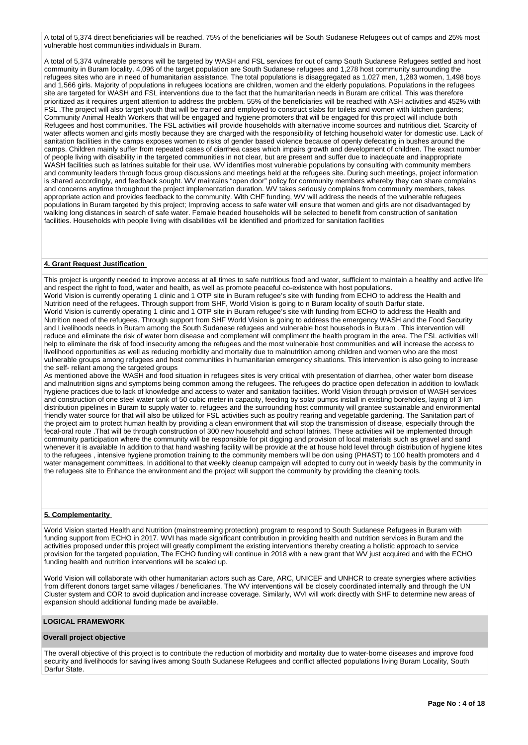A total of 5,374 direct beneficiaries will be reached. 75% of the beneficiaries will be South Sudanese Refugees out of camps and 25% most vulnerable host communities individuals in Buram.

A total of 5,374 vulnerable persons will be targeted by WASH and FSL services for out of camp South Sudanese Refugees settled and host community in Buram locality. 4,096 of the target population are South Sudanese refugees and 1,278 host community surrounding the refugees sites who are in need of humanitarian assistance. The total populations is disaggregated as 1,027 men, 1,283 women, 1,498 boys and 1,566 girls. Majority of populations in refugees locations are children, women and the elderly populations. Populations in the refugees site are targeted for WASH and FSL interventions due to the fact that the humanitarian needs in Buram are critical. This was therefore prioritized as it requires urgent attention to address the problem. 55% of the beneficiaries will be reached with ASH activities and 452% with FSL .The project will also target youth that will be trained and employed to construct slabs for toilets and women with kitchen gardens; Community Animal Health Workers that will be engaged and hygiene promoters that will be engaged for this project will include both Refugees and host communities. The FSL activities will provide households with alternative income sources and nutritious diet. Scarcity of water affects women and girls mostly because they are charged with the responsibility of fetching household water for domestic use. Lack of sanitation facilities in the camps exposes women to risks of gender based violence because of openly defecating in bushes around the camps. Children mainly suffer from repeated cases of diarrhea cases which impairs growth and development of children. The exact number of people living with disability in the targeted communities in not clear, but are present and suffer due to inadequate and inappropriate WASH facilities such as latrines suitable for their use. WV identifies most vulnerable populations by consulting with community members and community leaders through focus group discussions and meetings held at the refugees site. During such meetings, project information is shared accordingly, and feedback sought. WV maintains "open door" policy for community members whereby they can share complains and concerns anytime throughout the project implementation duration. WV takes seriously complains from community members, takes appropriate action and provides feedback to the community. With CHF funding, WV will address the needs of the vulnerable refugees populations in Buram targeted by this project; Improving access to safe water will ensure that women and girls are not disadvantaged by walking long distances in search of safe water. Female headed households will be selected to benefit from construction of sanitation facilities. Households with people living with disabilities will be identified and prioritized for sanitation facilities

#### **4. Grant Request Justification**

This project is urgently needed to improve access at all times to safe nutritious food and water, sufficient to maintain a healthy and active life and respect the right to food, water and health, as well as promote peaceful co-existence with host populations. World Vision is currently operating 1 clinic and 1 OTP site in Buram refugee's site with funding from ECHO to address the Health and Nutrition need of the refugees. Through support from SHF, World Vision is going to n Buram locality of south Darfur state. World Vision is currently operating 1 clinic and 1 OTP site in Buram refugee's site with funding from ECHO to address the Health and Nutrition need of the refugees. Through support from SHF World Vision is going to address the emergency WASH and the Food Security and Livelihoods needs in Buram among the South Sudanese refugees and vulnerable host househods in Buram . This intervention will reduce and eliminate the risk of water born disease and complement will compliment the health program in the area. The FSL activities will help to eliminate the risk of food insecurity among the refugees and the most vulnerable host communities and will increase the access to livelihood opportunities as well as reducing morbidity and mortality due to malnutrition among children and women who are the most vulnerable groups among refugees and host communities in humanitarian emergency situations. This intervention is also going to increase the self- reliant among the targeted groups

As mentioned above the WASH and food situation in refugees sites is very critical with presentation of diarrhea, other water born disease and malnutrition signs and symptoms being common among the refugees. The refugees do practice open defecation in addition to low/lack hygiene practices due to lack of knowledge and access to water and sanitation facilities. World Vision through provision of WASH services and construction of one steel water tank of 50 cubic meter in capacity, feeding by solar pumps install in existing boreholes, laying of 3 km distribution pipelines in Buram to supply water to. refugees and the surrounding host community will grantee sustainable and environmental friendly water source for that will also be utilized for FSL activities such as poultry rearing and vegetable gardening. The Sanitation part of the project aim to protect human health by providing a clean environment that will stop the transmission of disease, especially through the fecal-oral route .That will be through construction of 300 new household and school latrines. These activities will be implemented through community participation where the community will be responsible for pit digging and provision of local materials such as gravel and sand whenever it is available In addition to that hand washing facility will be provide at the at house hold level through distribution of hygiene kites to the refugees , intensive hygiene promotion training to the community members will be don using (PHAST) to 100 health promoters and 4 water management committees, In additional to that weekly cleanup campaign will adopted to curry out in weekly basis by the community in the refugees site to Enhance the environment and the project will support the community by providing the cleaning tools.

#### **5. Complementarity**

World Vision started Health and Nutrition (mainstreaming protection) program to respond to South Sudanese Refugees in Buram with funding support from ECHO in 2017. WVI has made significant contribution in providing health and nutrition services in Buram and the activities proposed under this project will greatly compliment the existing interventions thereby creating a holistic approach to service provision for the targeted population, The ECHO funding will continue in 2018 with a new grant that WV just acquired and with the ECHO funding health and nutrition interventions will be scaled up.

World Vision will collaborate with other humanitarian actors such as Care, ARC, UNICEF and UNHCR to create synergies where activities from different donors target same villages / beneficiaries. The WV interventions will be closely coordinated internally and through the UN Cluster system and COR to avoid duplication and increase coverage. Similarly, WVI will work directly with SHF to determine new areas of expansion should additional funding made be available.

## **LOGICAL FRAMEWORK**

## **Overall project objective**

The overall objective of this project is to contribute the reduction of morbidity and mortality due to water-borne diseases and improve food security and livelihoods for saving lives among South Sudanese Refugees and conflict affected populations living Buram Locality, South Darfur State.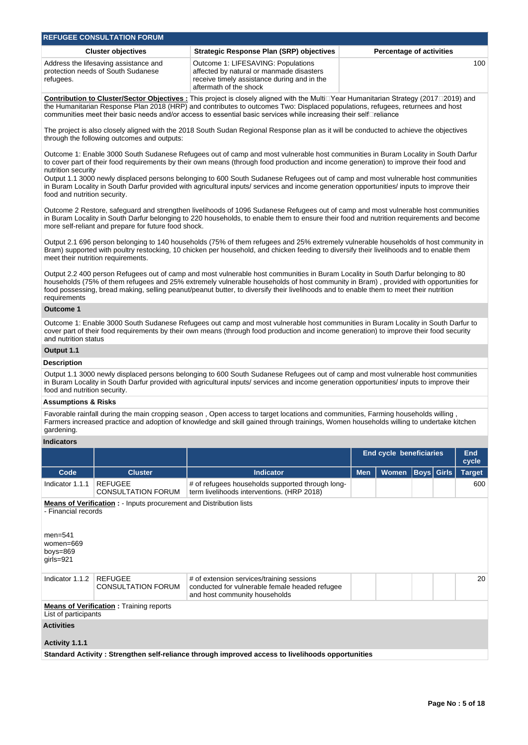| <b>REFUGEE CONSULTATION FORUM</b>                                                        |                                                                                                                                                         |                                 |  |  |  |
|------------------------------------------------------------------------------------------|---------------------------------------------------------------------------------------------------------------------------------------------------------|---------------------------------|--|--|--|
| <b>Cluster objectives</b>                                                                | <b>Strategic Response Plan (SRP) objectives</b>                                                                                                         | <b>Percentage of activities</b> |  |  |  |
| Address the lifesaving assistance and<br>protection needs of South Sudanese<br>refugees. | Outcome 1: LIFESAVING: Populations<br>affected by natural or manmade disasters<br>receive timely assistance during and in the<br>aftermath of the shock | 100                             |  |  |  |

Contribution to Cluster/Sector Objectives : This project is closely aligned with the MultiDYear Humanitarian Strategy (2017D2019) and the Humanitarian Response Plan 2018 (HRP) and contributes to outcomes Two: Displaced populations, refugees, returnees and host communities meet their basic needs and/or access to essential basic services while increasing their selferiance

The project is also closely aligned with the 2018 South Sudan Regional Response plan as it will be conducted to achieve the objectives through the following outcomes and outputs:

Outcome 1: Enable 3000 South Sudanese Refugees out of camp and most vulnerable host communities in Buram Locality in South Darfur to cover part of their food requirements by their own means (through food production and income generation) to improve their food and nutrition security

Output 1.1 3000 newly displaced persons belonging to 600 South Sudanese Refugees out of camp and most vulnerable host communities in Buram Locality in South Darfur provided with agricultural inputs/ services and income generation opportunities/ inputs to improve their food and nutrition security.

Outcome 2 Restore, safeguard and strengthen livelihoods of 1096 Sudanese Refugees out of camp and most vulnerable host communities in Buram Locality in South Darfur belonging to 220 households, to enable them to ensure their food and nutrition requirements and become more self-reliant and prepare for future food shock.

Output 2.1 696 person belonging to 140 households (75% of them refugees and 25% extremely vulnerable households of host community in Bram) supported with poultry restocking, 10 chicken per household, and chicken feeding to diversify their livelihoods and to enable them meet their nutrition requirements.

Output 2.2 400 person Refugees out of camp and most vulnerable host communities in Buram Locality in South Darfur belonging to 80 households (75% of them refugees and 25% extremely vulnerable households of host community in Bram) , provided with opportunities for food possessing, bread making, selling peanut/peanut butter, to diversify their livelihoods and to enable them to meet their nutrition requirements

## **Outcome 1**

Outcome 1: Enable 3000 South Sudanese Refugees out camp and most vulnerable host communities in Buram Locality in South Darfur to cover part of their food requirements by their own means (through food production and income generation) to improve their food security and nutrition status

## **Output 1.1**

## **Description**

Output 1.1 3000 newly displaced persons belonging to 600 South Sudanese Refugees out of camp and most vulnerable host communities in Buram Locality in South Darfur provided with agricultural inputs/ services and income generation opportunities/ inputs to improve their food and nutrition security.

## **Assumptions & Risks**

Favorable rainfall during the main cropping season , Open access to target locations and communities, Farming households willing , Farmers increased practice and adoption of knowledge and skill gained through trainings, Women households willing to undertake kitchen gardening.

## **Indicators**

|                                                                                                                                                          |                                             |                                                                                                                              | <b>End cycle beneficiaries</b> |              | <b>End</b><br>cycle |                   |               |
|----------------------------------------------------------------------------------------------------------------------------------------------------------|---------------------------------------------|------------------------------------------------------------------------------------------------------------------------------|--------------------------------|--------------|---------------------|-------------------|---------------|
| Code                                                                                                                                                     | <b>Cluster</b>                              | <b>Indicator</b>                                                                                                             | <b>Men</b>                     | <b>Women</b> |                     | <b>Boys Girls</b> | <b>Target</b> |
| Indicator 1.1.1                                                                                                                                          | <b>REFUGEE</b><br><b>CONSULTATION FORUM</b> | # of refugees households supported through long-<br>term livelihoods interventions. (HRP 2018)                               |                                |              |                     |                   | 600           |
| <b>Means of Verification:</b> - Inputs procurement and Distribution lists<br>- Financial records<br>$men = 541$<br>women=669<br>boys=869<br>$grls = 921$ |                                             |                                                                                                                              |                                |              |                     |                   |               |
| Indicator 1.1.2                                                                                                                                          | <b>REFUGEE</b><br><b>CONSULTATION FORUM</b> | # of extension services/training sessions<br>conducted for vulnerable female headed refugee<br>and host community households |                                |              |                     |                   | 20            |
| <b>Means of Verification:</b> Training reports<br>List of participants                                                                                   |                                             |                                                                                                                              |                                |              |                     |                   |               |
| <b>Activities</b><br>Activity 1.1.1                                                                                                                      |                                             |                                                                                                                              |                                |              |                     |                   |               |
| Standard Activity: Strengthen self-reliance through improved access to livelihoods opportunities                                                         |                                             |                                                                                                                              |                                |              |                     |                   |               |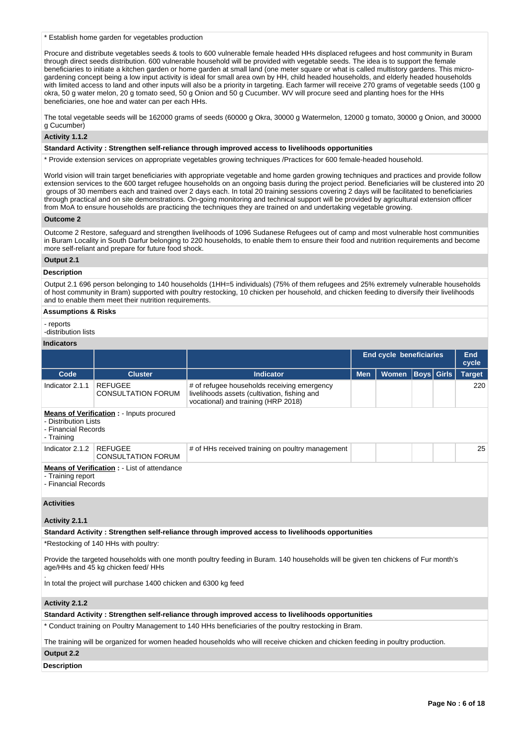\* Establish home garden for vegetables production

Procure and distribute vegetables seeds & tools to 600 vulnerable female headed HHs displaced refugees and host community in Buram through direct seeds distribution. 600 vulnerable household will be provided with vegetable seeds. The idea is to support the female beneficiaries to initiate a kitchen garden or home garden at small land (one meter square or what is called multistory gardens. This microgardening concept being a low input activity is ideal for small area own by HH, child headed households, and elderly headed households with limited access to land and other inputs will also be a priority in targeting. Each farmer will receive 270 grams of vegetable seeds (100 g okra, 50 g water melon, 20 g tomato seed, 50 g Onion and 50 g Cucumber. WV will procure seed and planting hoes for the HHs beneficiaries, one hoe and water can per each HHs.

The total vegetable seeds will be 162000 grams of seeds (60000 g Okra, 30000 g Watermelon, 12000 g tomato, 30000 g Onion, and 30000 g Cucumber)

## **Activity 1.1.2**

#### **Standard Activity : Strengthen self-reliance through improved access to livelihoods opportunities**

\* Provide extension services on appropriate vegetables growing techniques /Practices for 600 female-headed household.

World vision will train target beneficiaries with appropriate vegetable and home garden growing techniques and practices and provide follow extension services to the 600 target refugee households on an ongoing basis during the project period. Beneficiaries will be clustered into 20 groups of 30 members each and trained over 2 days each. In total 20 training sessions covering 2 days will be facilitated to beneficiaries through practical and on site demonstrations. On-going monitoring and technical support will be provided by agricultural extension officer from MoA to ensure households are practicing the techniques they are trained on and undertaking vegetable growing.

## **Outcome 2**

Outcome 2 Restore, safeguard and strengthen livelihoods of 1096 Sudanese Refugees out of camp and most vulnerable host communities in Buram Locality in South Darfur belonging to 220 households, to enable them to ensure their food and nutrition requirements and become more self-reliant and prepare for future food shock.

#### **Output 2.1**

#### **Description**

Output 2.1 696 person belonging to 140 households (1HH=5 individuals) (75% of them refugees and 25% extremely vulnerable households of host community in Bram) supported with poultry restocking, 10 chicken per household, and chicken feeding to diversify their livelihoods and to enable them meet their nutrition requirements.

## **Assumptions & Risks**

- reports

-distribution lists

# **Indicators**

|                                                                                                              |                                             |                                                                                                                                    |            | <b>End cycle beneficiaries</b> |              | End<br>cycle  |
|--------------------------------------------------------------------------------------------------------------|---------------------------------------------|------------------------------------------------------------------------------------------------------------------------------------|------------|--------------------------------|--------------|---------------|
| Code                                                                                                         | <b>Cluster</b>                              | <b>Indicator</b>                                                                                                                   | <b>Men</b> | <b>Women</b>                   | Boys   Girls | <b>Target</b> |
| Indicator 2.1.1                                                                                              | <b>REFUGEE</b><br><b>CONSULTATION FORUM</b> | # of refugee households receiving emergency<br>livelihoods assets (cultivation, fishing and<br>vocational) and training (HRP 2018) |            |                                |              | 220           |
| <b>Means of Verification:</b> - Inputs procured<br>- Distribution Lists<br>- Financial Records<br>- Training |                                             |                                                                                                                                    |            |                                |              |               |
| Indicator 2.1.2                                                                                              | <b>REFUGEE</b><br><b>CONSULTATION FORUM</b> | # of HHs received training on poultry management                                                                                   |            |                                |              | 25            |
| <b>Means of Verification:</b> - List of attendance<br>- Training report<br>- Financial Records               |                                             |                                                                                                                                    |            |                                |              |               |
| <b>Activities</b>                                                                                            |                                             |                                                                                                                                    |            |                                |              |               |
| Activity 2.1.1                                                                                               |                                             |                                                                                                                                    |            |                                |              |               |

**Standard Activity : Strengthen self-reliance through improved access to livelihoods opportunities**

\*Restocking of 140 HHs with poultry:

Provide the targeted households with one month poultry feeding in Buram. 140 households will be given ten chickens of Fur month's age/HHs and 45 kg chicken feed/ HHs

. In total the project will purchase 1400 chicken and 6300 kg feed

#### **Activity 2.1.2**

**Standard Activity : Strengthen self-reliance through improved access to livelihoods opportunities**

\* Conduct training on Poultry Management to 140 HHs beneficiaries of the poultry restocking in Bram.

The training will be organized for women headed households who will receive chicken and chicken feeding in poultry production.

## **Output 2.2**

**Description**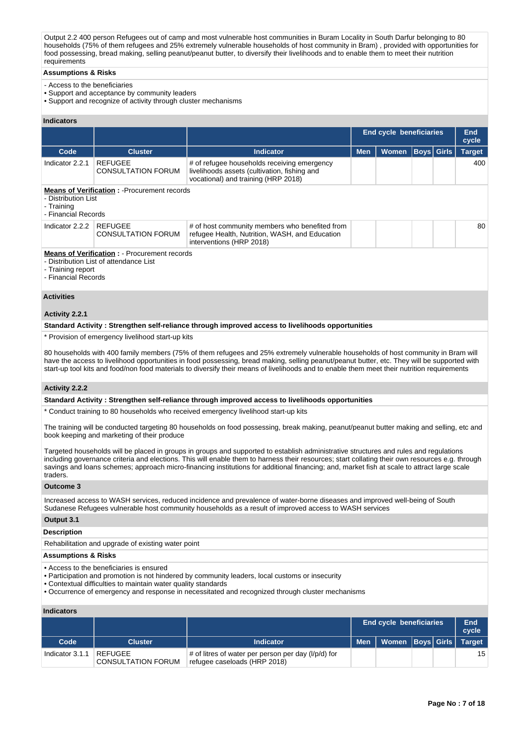Output 2.2 400 person Refugees out of camp and most vulnerable host communities in Buram Locality in South Darfur belonging to 80 households (75% of them refugees and 25% extremely vulnerable households of host community in Bram) , provided with opportunities for food possessing, bread making, selling peanut/peanut butter, to diversify their livelihoods and to enable them to meet their nutrition requirements

## **Assumptions & Risks**

- Access to the beneficiaries
- Support and acceptance by community leaders
- Support and recognize of activity through cluster mechanisms

## **Indicators**

|                                                          |                                                                                               |                                                                                                                                    | End cycle beneficiaries |       | End<br>cycle      |               |
|----------------------------------------------------------|-----------------------------------------------------------------------------------------------|------------------------------------------------------------------------------------------------------------------------------------|-------------------------|-------|-------------------|---------------|
| Code                                                     | <b>Cluster</b>                                                                                | <b>Indicator</b>                                                                                                                   | <b>Men</b>              | Women | <b>Boys Girls</b> | <b>Target</b> |
| Indicator 2.2.1                                          | <b>REFUGEE</b><br><b>CONSULTATION FORUM</b>                                                   | # of refugee households receiving emergency<br>livelihoods assets (cultivation, fishing and<br>vocational) and training (HRP 2018) |                         |       |                   | 400           |
| - Distribution List<br>- Training<br>- Financial Records | <b>Means of Verification: - Procurement records</b>                                           |                                                                                                                                    |                         |       |                   |               |
| Indicator 2.2.2                                          | <b>REFUGEE</b><br><b>CONSULTATION FORUM</b>                                                   | # of host community members who benefited from<br>refugee Health, Nutrition, WASH, and Education<br>interventions (HRP 2018)       |                         |       |                   | 80            |
| - Training report<br>- Financial Records                 | <b>Means of Verification: - Procurement records</b><br>- Distribution List of attendance List |                                                                                                                                    |                         |       |                   |               |

#### **Activities**

## **Activity 2.2.1**

**Standard Activity : Strengthen self-reliance through improved access to livelihoods opportunities**

\* Provision of emergency livelihood start-up kits

80 households with 400 family members (75% of them refugees and 25% extremely vulnerable households of host community in Bram will have the access to livelihood opportunities in food possessing, bread making, selling peanut/peanut butter, etc. They will be supported with start-up tool kits and food/non food materials to diversify their means of livelihoods and to enable them meet their nutrition requirements

#### **Activity 2.2.2**

#### **Standard Activity : Strengthen self-reliance through improved access to livelihoods opportunities**

\* Conduct training to 80 households who received emergency livelihood start-up kits

The training will be conducted targeting 80 households on food possessing, break making, peanut/peanut butter making and selling, etc and book keeping and marketing of their produce

Targeted households will be placed in groups in groups and supported to establish administrative structures and rules and regulations including governance criteria and elections. This will enable them to harness their resources; start collating their own resources e.g. through savings and loans schemes; approach micro-financing institutions for additional financing; and, market fish at scale to attract large scale traders.

#### **Outcome 3**

Increased access to WASH services, reduced incidence and prevalence of water-borne diseases and improved well-being of South Sudanese Refugees vulnerable host community households as a result of improved access to WASH services

## **Output 3.1**

#### **Description**

Rehabilitation and upgrade of existing water point

# **Assumptions & Risks**

- Access to the beneficiaries is ensured
- Participation and promotion is not hindered by community leaders, local customs or insecurity
- Contextual difficulties to maintain water quality standards
- Occurrence of emergency and response in necessitated and recognized through cluster mechanisms

## **Indicators**

|                 |                                      |                                                                                            |       | <b>End cycle beneficiaries</b> |  | End<br>cycle    |
|-----------------|--------------------------------------|--------------------------------------------------------------------------------------------|-------|--------------------------------|--|-----------------|
| Code            | <b>Cluster</b>                       | <b>Indicator</b>                                                                           | Men I | Women   Boys   Girls   Target  |  |                 |
| Indicator 3.1.1 | REFUGEE<br><b>CONSULTATION FORUM</b> | $\#$ of litres of water per person per day ( $I/p/d$ ) for<br>refugee caseloads (HRP 2018) |       |                                |  | 15 <sup>1</sup> |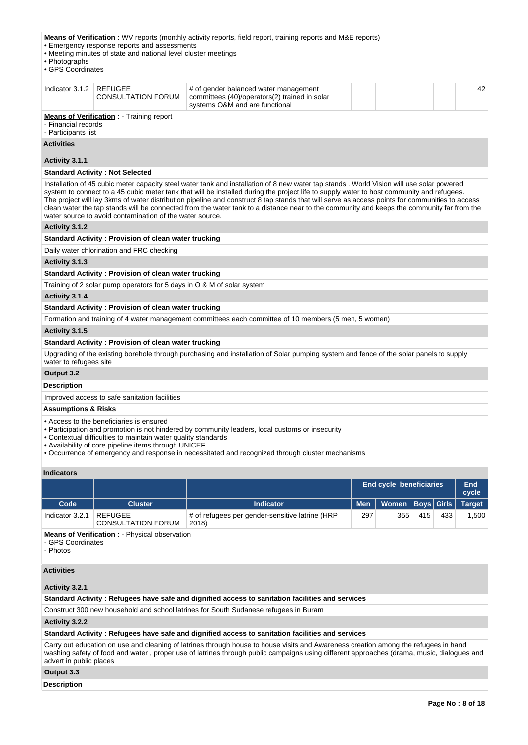| • Photographs<br>• GPS Coordinates                                                                                                                                                                                                                                                                                                                                                                                                                                                                                                                                                                                                               | • Emergency response reports and assessments<br>• Meeting minutes of state and national level cluster meetings | <b>Means of Verification</b> : WV reports (monthly activity reports, field report, training reports and M&E reports)           |  |  |  |
|--------------------------------------------------------------------------------------------------------------------------------------------------------------------------------------------------------------------------------------------------------------------------------------------------------------------------------------------------------------------------------------------------------------------------------------------------------------------------------------------------------------------------------------------------------------------------------------------------------------------------------------------------|----------------------------------------------------------------------------------------------------------------|--------------------------------------------------------------------------------------------------------------------------------|--|--|--|
| Indicator 3.1.2                                                                                                                                                                                                                                                                                                                                                                                                                                                                                                                                                                                                                                  | <b>REFUGEE</b><br><b>CONSULTATION FORUM</b>                                                                    | 42<br># of gender balanced water management<br>committees (40)/operators(2) trained in solar<br>systems O&M and are functional |  |  |  |
|                                                                                                                                                                                                                                                                                                                                                                                                                                                                                                                                                                                                                                                  | <b>Means of Verification:</b> - Training report<br>- Financial records<br>- Participants list                  |                                                                                                                                |  |  |  |
| <b>Activities</b>                                                                                                                                                                                                                                                                                                                                                                                                                                                                                                                                                                                                                                |                                                                                                                |                                                                                                                                |  |  |  |
| Activity 3.1.1                                                                                                                                                                                                                                                                                                                                                                                                                                                                                                                                                                                                                                   |                                                                                                                |                                                                                                                                |  |  |  |
|                                                                                                                                                                                                                                                                                                                                                                                                                                                                                                                                                                                                                                                  | <b>Standard Activity: Not Selected</b>                                                                         |                                                                                                                                |  |  |  |
| Installation of 45 cubic meter capacity steel water tank and installation of 8 new water tap stands. World Vision will use solar powered<br>system to connect to a 45 cubic meter tank that will be installed during the project life to supply water to host community and refugees.<br>The project will lay 3kms of water distribution pipeline and construct 8 tap stands that will serve as access points for communities to access<br>clean water the tap stands will be connected from the water tank to a distance near to the community and keeps the community far from the<br>water source to avoid contamination of the water source. |                                                                                                                |                                                                                                                                |  |  |  |
| Activity 3.1.2                                                                                                                                                                                                                                                                                                                                                                                                                                                                                                                                                                                                                                   |                                                                                                                |                                                                                                                                |  |  |  |
|                                                                                                                                                                                                                                                                                                                                                                                                                                                                                                                                                                                                                                                  | <b>Standard Activity: Provision of clean water trucking</b>                                                    |                                                                                                                                |  |  |  |
|                                                                                                                                                                                                                                                                                                                                                                                                                                                                                                                                                                                                                                                  | Daily water chlorination and FRC checking                                                                      |                                                                                                                                |  |  |  |
| Activity 3.1.3                                                                                                                                                                                                                                                                                                                                                                                                                                                                                                                                                                                                                                   |                                                                                                                |                                                                                                                                |  |  |  |
|                                                                                                                                                                                                                                                                                                                                                                                                                                                                                                                                                                                                                                                  | <b>Standard Activity: Provision of clean water trucking</b>                                                    |                                                                                                                                |  |  |  |
|                                                                                                                                                                                                                                                                                                                                                                                                                                                                                                                                                                                                                                                  | Training of 2 solar pump operators for 5 days in O & M of solar system                                         |                                                                                                                                |  |  |  |
| Activity 3.1.4                                                                                                                                                                                                                                                                                                                                                                                                                                                                                                                                                                                                                                   |                                                                                                                |                                                                                                                                |  |  |  |
|                                                                                                                                                                                                                                                                                                                                                                                                                                                                                                                                                                                                                                                  | <b>Standard Activity: Provision of clean water trucking</b>                                                    |                                                                                                                                |  |  |  |
|                                                                                                                                                                                                                                                                                                                                                                                                                                                                                                                                                                                                                                                  |                                                                                                                | Formation and training of 4 water management committees each committee of 10 members (5 men, 5 women)                          |  |  |  |
| Activity 3.1.5                                                                                                                                                                                                                                                                                                                                                                                                                                                                                                                                                                                                                                   |                                                                                                                |                                                                                                                                |  |  |  |
|                                                                                                                                                                                                                                                                                                                                                                                                                                                                                                                                                                                                                                                  | <b>Standard Activity: Provision of clean water trucking</b>                                                    |                                                                                                                                |  |  |  |
| Upgrading of the existing borehole through purchasing and installation of Solar pumping system and fence of the solar panels to supply<br>water to refugees site                                                                                                                                                                                                                                                                                                                                                                                                                                                                                 |                                                                                                                |                                                                                                                                |  |  |  |
| Output 3.2                                                                                                                                                                                                                                                                                                                                                                                                                                                                                                                                                                                                                                       |                                                                                                                |                                                                                                                                |  |  |  |
| <b>Description</b>                                                                                                                                                                                                                                                                                                                                                                                                                                                                                                                                                                                                                               |                                                                                                                |                                                                                                                                |  |  |  |
| Improved access to safe sanitation facilities                                                                                                                                                                                                                                                                                                                                                                                                                                                                                                                                                                                                    |                                                                                                                |                                                                                                                                |  |  |  |
| <b>Assumptions &amp; Risks</b>                                                                                                                                                                                                                                                                                                                                                                                                                                                                                                                                                                                                                   |                                                                                                                |                                                                                                                                |  |  |  |
| • Access to the beneficiaries is ensured<br>• Participation and promotion is not hindered by community leaders, local customs or insecurity<br>• Contextual difficulties to maintain water quality standards<br>• Availability of core pipeline items through UNICEF<br>• Occurrence of emergency and response in necessitated and recognized through cluster mechanisms                                                                                                                                                                                                                                                                         |                                                                                                                |                                                                                                                                |  |  |  |

#### **Indicators**

|                 |                                      |                                                          |            | <b>End cycle beneficiaries</b> |     |     | End<br>cycle |
|-----------------|--------------------------------------|----------------------------------------------------------|------------|--------------------------------|-----|-----|--------------|
| Code            | <b>Cluster</b>                       | <b>Indicator</b>                                         | <b>Men</b> | Women   Boys   Girls   Target  |     |     |              |
| Indicator 3.2.1 | REFUGEE<br><b>CONSULTATION FORUM</b> | # of refugees per gender-sensitive latrine (HRP<br>2018) | 297        | 355                            | 415 | 433 | .500         |

**Means of Verification : - Physical observation** 

- GPS Coordinates

- Photos

# **Activities**

**Activity 3.2.1** 

**Standard Activity : Refugees have safe and dignified access to sanitation facilities and services**

Construct 300 new household and school latrines for South Sudanese refugees in Buram

**Activity 3.2.2** 

## **Standard Activity : Refugees have safe and dignified access to sanitation facilities and services**

Carry out education on use and cleaning of latrines through house to house visits and Awareness creation among the refugees in hand washing safety of food and water , proper use of latrines through public campaigns using different approaches (drama, music, dialogues and advert in public places

# **Output 3.3**

**Description**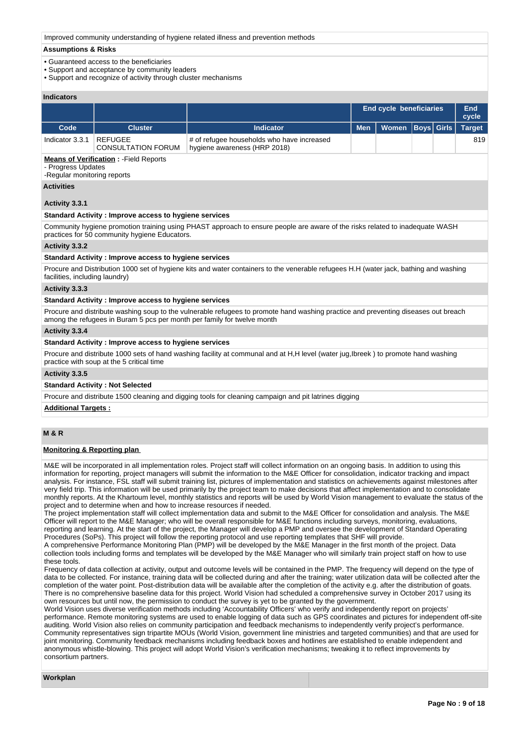Improved community understanding of hygiene related illness and prevention methods

## **Assumptions & Risks**

- Guaranteed access to the beneficiaries
- Support and acceptance by community leaders
- Support and recognize of activity through cluster mechanisms

## **Indicators**

|                                                                                                                                                     |                                                                                                    |                  |            | End cycle beneficiaries |                   |  | End<br>cycle  |  |  |  |
|-----------------------------------------------------------------------------------------------------------------------------------------------------|----------------------------------------------------------------------------------------------------|------------------|------------|-------------------------|-------------------|--|---------------|--|--|--|
| Code                                                                                                                                                | <b>Cluster</b>                                                                                     | <b>Indicator</b> | <b>Men</b> | <b>Women</b>            | <b>Boys Girls</b> |  | <b>Target</b> |  |  |  |
| 819<br>Indicator 3.3.1<br><b>REFUGEE</b><br># of refugee households who have increased<br>hygiene awareness (HRP 2018)<br><b>CONSULTATION FORUM</b> |                                                                                                    |                  |            |                         |                   |  |               |  |  |  |
|                                                                                                                                                     | <b>Means of Verification:</b> - Field Reports<br>- Progress Updates<br>-Regular monitoring reports |                  |            |                         |                   |  |               |  |  |  |
| <b>Activities</b>                                                                                                                                   |                                                                                                    |                  |            |                         |                   |  |               |  |  |  |
| Activity 3.3.1                                                                                                                                      |                                                                                                    |                  |            |                         |                   |  |               |  |  |  |
|                                                                                                                                                     | <b>Standard Activity: Improve access to hygiene services</b>                                       |                  |            |                         |                   |  |               |  |  |  |

Community hygiene promotion training using PHAST approach to ensure people are aware of the risks related to inadequate WASH practices for 50 community hygiene Educators.

## **Activity 3.3.2**

#### **Standard Activity : Improve access to hygiene services**

Procure and Distribution 1000 set of hygiene kits and water containers to the venerable refugees H.H (water jack, bathing and washing facilities, including laundry)

## **Activity 3.3.3**

#### **Standard Activity : Improve access to hygiene services**

Procure and distribute washing soup to the vulnerable refugees to promote hand washing practice and preventing diseases out breach among the refugees in Buram 5 pcs per month per family for twelve month

#### **Activity 3.3.4**

# **Standard Activity : Improve access to hygiene services**

Procure and distribute 1000 sets of hand washing facility at communal and at H,H level (water jug,Ibreek) to promote hand washing practice with soup at the 5 critical time

#### **Activity 3.3.5**

#### **Standard Activity : Not Selected**

Procure and distribute 1500 cleaning and digging tools for cleaning campaign and pit latrines digging

#### **Additional Targets :**

# **M & R**

## **Monitoring & Reporting plan**

M&E will be incorporated in all implementation roles. Project staff will collect information on an ongoing basis. In addition to using this information for reporting, project managers will submit the information to the M&E Officer for consolidation, indicator tracking and impact analysis. For instance, FSL staff will submit training list, pictures of implementation and statistics on achievements against milestones after very field trip. This information will be used primarily by the project team to make decisions that affect implementation and to consolidate monthly reports. At the Khartoum level, monthly statistics and reports will be used by World Vision management to evaluate the status of the project and to determine when and how to increase resources if needed.

The project implementation staff will collect implementation data and submit to the M&E Officer for consolidation and analysis. The M&E Officer will report to the M&E Manager; who will be overall responsible for M&E functions including surveys, monitoring, evaluations, reporting and learning. At the start of the project, the Manager will develop a PMP and oversee the development of Standard Operating Procedures (SoPs). This project will follow the reporting protocol and use reporting templates that SHF will provide.

A comprehensive Performance Monitoring Plan (PMP) will be developed by the M&E Manager in the first month of the project. Data collection tools including forms and templates will be developed by the M&E Manager who will similarly train project staff on how to use these tools.

Frequency of data collection at activity, output and outcome levels will be contained in the PMP. The frequency will depend on the type of data to be collected. For instance, training data will be collected during and after the training; water utilization data will be collected after the completion of the water point. Post-distribution data will be available after the completion of the activity e.g. after the distribution of goats. There is no comprehensive baseline data for this project. World Vision had scheduled a comprehensive survey in October 2017 using its own resources but until now, the permission to conduct the survey is yet to be granted by the government.

World Vision uses diverse verification methods including 'Accountability Officers' who verify and independently report on projects' performance. Remote monitoring systems are used to enable logging of data such as GPS coordinates and pictures for independent off-site auditing. World Vision also relies on community participation and feedback mechanisms to independently verify project's performance. Community representatives sign tripartite MOUs (World Vision, government line ministries and targeted communities) and that are used for joint monitoring. Community feedback mechanisms including feedback boxes and hotlines are established to enable independent and anonymous whistle-blowing. This project will adopt World Vision's verification mechanisms; tweaking it to reflect improvements by consortium partners.

#### **Workplan**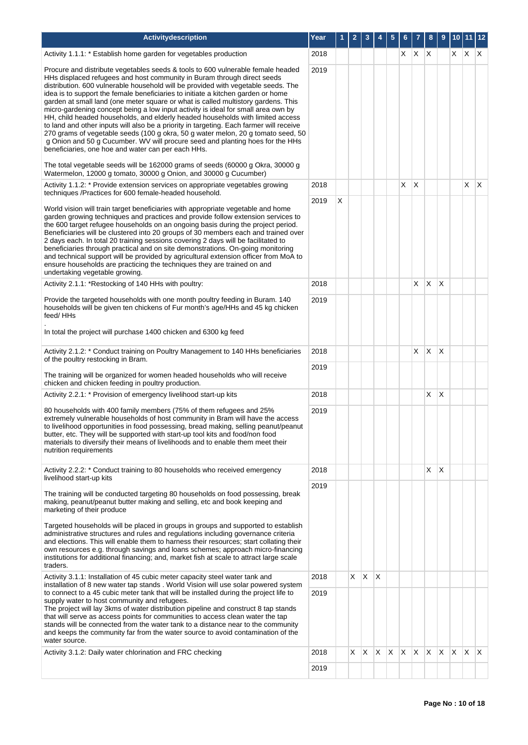| Activitydescription                                                                                                                                                                                                                                                                                                                                                                                                                                                                                                                                                                                                                                                                                                                                                                                                                                                                                                                                                                                     | Year |   |    |              |              |     | 6   |              | 8              | 9               |              | 10 11 12     |              |
|---------------------------------------------------------------------------------------------------------------------------------------------------------------------------------------------------------------------------------------------------------------------------------------------------------------------------------------------------------------------------------------------------------------------------------------------------------------------------------------------------------------------------------------------------------------------------------------------------------------------------------------------------------------------------------------------------------------------------------------------------------------------------------------------------------------------------------------------------------------------------------------------------------------------------------------------------------------------------------------------------------|------|---|----|--------------|--------------|-----|-----|--------------|----------------|-----------------|--------------|--------------|--------------|
| Activity 1.1.1: * Establish home garden for vegetables production                                                                                                                                                                                                                                                                                                                                                                                                                                                                                                                                                                                                                                                                                                                                                                                                                                                                                                                                       | 2018 |   |    |              |              |     |     | $X \mid X$   | $\mathsf{X}$   |                 | X.           | X.           | X            |
| Procure and distribute vegetables seeds & tools to 600 vulnerable female headed<br>HHs displaced refugees and host community in Buram through direct seeds<br>distribution. 600 vulnerable household will be provided with vegetable seeds. The<br>idea is to support the female beneficiaries to initiate a kitchen garden or home<br>garden at small land (one meter square or what is called multistory gardens. This<br>micro-gardening concept being a low input activity is ideal for small area own by<br>HH, child headed households, and elderly headed households with limited access<br>to land and other inputs will also be a priority in targeting. Each farmer will receive<br>270 grams of vegetable seeds (100 g okra, 50 g water melon, 20 g tomato seed, 50<br>g Onion and 50 g Cucumber. WV will procure seed and planting hoes for the HHs<br>beneficiaries, one hoe and water can per each HHs.<br>The total vegetable seeds will be 162000 grams of seeds (60000 g Okra, 30000 g | 2019 |   |    |              |              |     |     |              |                |                 |              |              |              |
| Watermelon, 12000 g tomato, 30000 g Onion, and 30000 g Cucumber)<br>Activity 1.1.2: * Provide extension services on appropriate vegetables growing<br>techniques /Practices for 600 female-headed household.                                                                                                                                                                                                                                                                                                                                                                                                                                                                                                                                                                                                                                                                                                                                                                                            | 2018 |   |    |              |              |     | X   | X            |                |                 |              | X            | $\mathsf{X}$ |
| World vision will train target beneficiaries with appropriate vegetable and home<br>garden growing techniques and practices and provide follow extension services to<br>the 600 target refugee households on an ongoing basis during the project period.<br>Beneficiaries will be clustered into 20 groups of 30 members each and trained over<br>2 days each. In total 20 training sessions covering 2 days will be facilitated to<br>beneficiaries through practical and on site demonstrations. On-going monitoring<br>and technical support will be provided by agricultural extension officer from MoA to<br>ensure households are practicing the techniques they are trained on and<br>undertaking vegetable growing.                                                                                                                                                                                                                                                                             | 2019 | X |    |              |              |     |     |              |                |                 |              |              |              |
| Activity 2.1.1: *Restocking of 140 HHs with poultry:                                                                                                                                                                                                                                                                                                                                                                                                                                                                                                                                                                                                                                                                                                                                                                                                                                                                                                                                                    | 2018 |   |    |              |              |     |     | X            | X              | X               |              |              |              |
| Provide the targeted households with one month poultry feeding in Buram. 140<br>households will be given ten chickens of Fur month's age/HHs and 45 kg chicken<br>feed/HHs<br>In total the project will purchase 1400 chicken and 6300 kg feed                                                                                                                                                                                                                                                                                                                                                                                                                                                                                                                                                                                                                                                                                                                                                          | 2019 |   |    |              |              |     |     |              |                |                 |              |              |              |
| Activity 2.1.2: * Conduct training on Poultry Management to 140 HHs beneficiaries                                                                                                                                                                                                                                                                                                                                                                                                                                                                                                                                                                                                                                                                                                                                                                                                                                                                                                                       | 2018 |   |    |              |              |     |     | X            | $\mathsf{X}$   | $\mathsf{\chi}$ |              |              |              |
| of the poultry restocking in Bram.                                                                                                                                                                                                                                                                                                                                                                                                                                                                                                                                                                                                                                                                                                                                                                                                                                                                                                                                                                      | 2019 |   |    |              |              |     |     |              |                |                 |              |              |              |
| The training will be organized for women headed households who will receive<br>chicken and chicken feeding in poultry production.                                                                                                                                                                                                                                                                                                                                                                                                                                                                                                                                                                                                                                                                                                                                                                                                                                                                       |      |   |    |              |              |     |     |              |                |                 |              |              |              |
| Activity 2.2.1: * Provision of emergency livelihood start-up kits                                                                                                                                                                                                                                                                                                                                                                                                                                                                                                                                                                                                                                                                                                                                                                                                                                                                                                                                       | 2018 |   |    |              |              |     |     |              | $\times$       | X               |              |              |              |
| 80 households with 400 family members (75% of them refugees and 25%<br>extremely vulnerable households of host community in Bram will have the access<br>to livelihood opportunities in food possessing, bread making, selling peanut/peanut<br>butter, etc. They will be supported with start-up tool kits and food/non food<br>materials to diversify their means of livelihoods and to enable them meet their<br>nutrition requirements                                                                                                                                                                                                                                                                                                                                                                                                                                                                                                                                                              | 2019 |   |    |              |              |     |     |              |                |                 |              |              |              |
| Activity 2.2.2: * Conduct training to 80 households who received emergency                                                                                                                                                                                                                                                                                                                                                                                                                                                                                                                                                                                                                                                                                                                                                                                                                                                                                                                              | 2018 |   |    |              |              |     |     |              | X.             | X               |              |              |              |
| livelihood start-up kits                                                                                                                                                                                                                                                                                                                                                                                                                                                                                                                                                                                                                                                                                                                                                                                                                                                                                                                                                                                | 2019 |   |    |              |              |     |     |              |                |                 |              |              |              |
| The training will be conducted targeting 80 households on food possessing, break<br>making, peanut/peanut butter making and selling, etc and book keeping and<br>marketing of their produce<br>Targeted households will be placed in groups in groups and supported to establish<br>administrative structures and rules and regulations including governance criteria<br>and elections. This will enable them to harness their resources; start collating their<br>own resources e.g. through savings and loans schemes; approach micro-financing<br>institutions for additional financing; and, market fish at scale to attract large scale<br>traders.                                                                                                                                                                                                                                                                                                                                                |      |   |    |              |              |     |     |              |                |                 |              |              |              |
| Activity 3.1.1: Installation of 45 cubic meter capacity steel water tank and<br>installation of 8 new water tap stands. World Vision will use solar powered system                                                                                                                                                                                                                                                                                                                                                                                                                                                                                                                                                                                                                                                                                                                                                                                                                                      | 2018 |   | X. | $\mathsf{X}$ | $\mathsf{X}$ |     |     |              |                |                 |              |              |              |
| to connect to a 45 cubic meter tank that will be installed during the project life to<br>supply water to host community and refugees.<br>The project will lay 3kms of water distribution pipeline and construct 8 tap stands<br>that will serve as access points for communities to access clean water the tap<br>stands will be connected from the water tank to a distance near to the community<br>and keeps the community far from the water source to avoid contamination of the<br>water source.                                                                                                                                                                                                                                                                                                                                                                                                                                                                                                  | 2019 |   |    |              |              |     |     |              |                |                 |              |              |              |
| Activity 3.1.2: Daily water chlorination and FRC checking                                                                                                                                                                                                                                                                                                                                                                                                                                                                                                                                                                                                                                                                                                                                                                                                                                                                                                                                               | 2018 |   | X. | $\mathsf{X}$ | $\mathsf{X}$ | IX. | ΙX. | $\mathsf{X}$ | $\mathsf{X}^-$ | X               | $\mathsf{X}$ | $\mathsf{X}$ | $\mathsf{X}$ |
|                                                                                                                                                                                                                                                                                                                                                                                                                                                                                                                                                                                                                                                                                                                                                                                                                                                                                                                                                                                                         | 2019 |   |    |              |              |     |     |              |                |                 |              |              |              |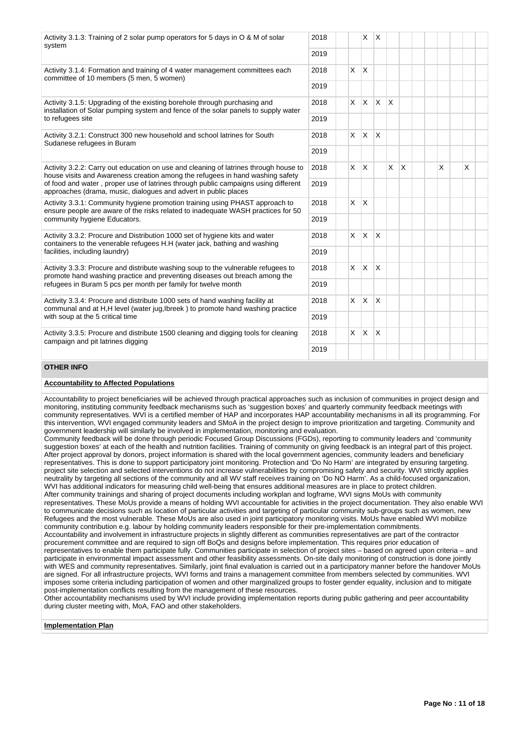| Activity 3.1.3: Training of 2 solar pump operators for 5 days in O & M of solar<br>system                                                                             | 2018 |          | X.           | $\overline{X}$          |              |              |  |   |   |  |
|-----------------------------------------------------------------------------------------------------------------------------------------------------------------------|------|----------|--------------|-------------------------|--------------|--------------|--|---|---|--|
|                                                                                                                                                                       | 2019 |          |              |                         |              |              |  |   |   |  |
| Activity 3.1.4: Formation and training of 4 water management committees each<br>committee of 10 members (5 men, 5 women)                                              |      | X.       | $\mathsf{X}$ |                         |              |              |  |   |   |  |
|                                                                                                                                                                       | 2019 |          |              |                         |              |              |  |   |   |  |
| Activity 3.1.5: Upgrading of the existing borehole through purchasing and<br>installation of Solar pumping system and fence of the solar panels to supply water       | 2018 |          | $X$ $X$      | <b>X</b>                | $\mathsf{x}$ |              |  |   |   |  |
| to refugees site                                                                                                                                                      | 2019 |          |              |                         |              |              |  |   |   |  |
| Activity 3.2.1: Construct 300 new household and school latrines for South<br>Sudanese refugees in Buram                                                               | 2018 | <b>X</b> | $\mathsf{X}$ | <b>X</b>                |              |              |  |   |   |  |
|                                                                                                                                                                       | 2019 |          |              |                         |              |              |  |   |   |  |
| Activity 3.2.2: Carry out education on use and cleaning of latrines through house to<br>house visits and Awareness creation among the refugees in hand washing safety | 2018 | X.       | $\mathsf{X}$ |                         | $\times$     | $\mathsf{X}$ |  | X | X |  |
| of food and water, proper use of latrines through public campaigns using different<br>approaches (drama, music, dialogues and advert in public places                 | 2019 |          |              |                         |              |              |  |   |   |  |
| Activity 3.3.1: Community hygiene promotion training using PHAST approach to<br>ensure people are aware of the risks related to inadequate WASH practices for 50      |      | X.       | <sup>X</sup> |                         |              |              |  |   |   |  |
| community hygiene Educators.                                                                                                                                          | 2019 |          |              |                         |              |              |  |   |   |  |
| Activity 3.3.2: Procure and Distribution 1000 set of hygiene kits and water<br>containers to the venerable refugees H.H (water jack, bathing and washing              | 2018 | <b>X</b> | ΙX.          | $\mathsf{X}$            |              |              |  |   |   |  |
| facilities, including laundry)                                                                                                                                        | 2019 |          |              |                         |              |              |  |   |   |  |
| Activity 3.3.3: Procure and distribute washing soup to the vulnerable refugees to<br>promote hand washing practice and preventing diseases out breach among the       | 2018 | <b>X</b> | $\mathsf{X}$ | $\overline{\mathsf{x}}$ |              |              |  |   |   |  |
| refugees in Buram 5 pcs per month per family for twelve month                                                                                                         | 2019 |          |              |                         |              |              |  |   |   |  |
| Activity 3.3.4: Procure and distribute 1000 sets of hand washing facility at<br>communal and at H.H level (water jug, breek) to promote hand washing practice         | 2018 |          | $x \mid x$   | $\overline{\mathsf{x}}$ |              |              |  |   |   |  |
| with soup at the 5 critical time                                                                                                                                      | 2019 |          |              |                         |              |              |  |   |   |  |
| Activity 3.3.5: Procure and distribute 1500 cleaning and digging tools for cleaning<br>campaign and pit latrines digging                                              | 2018 | <b>X</b> | $\mathsf{X}$ | $\mathsf{X}$            |              |              |  |   |   |  |
|                                                                                                                                                                       | 2019 |          |              |                         |              |              |  |   |   |  |

# **OTHER INFO**

# **Accountability to Affected Populations**

Accountability to project beneficiaries will be achieved through practical approaches such as inclusion of communities in project design and monitoring, instituting community feedback mechanisms such as 'suggestion boxes' and quarterly community feedback meetings with community representatives. WVI is a certified member of HAP and incorporates HAP accountability mechanisms in all its programming. For this intervention, WVI engaged community leaders and SMoA in the project design to improve prioritization and targeting. Community and government leadership will similarly be involved in implementation, monitoring and evaluation.

Community feedback will be done through periodic Focused Group Discussions (FGDs), reporting to community leaders and 'community suggestion boxes' at each of the health and nutrition facilities. Training of community on giving feedback is an integral part of this project. After project approval by donors, project information is shared with the local government agencies, community leaders and beneficiary representatives. This is done to support participatory joint monitoring. Protection and 'Do No Harm' are integrated by ensuring targeting. project site selection and selected interventions do not increase vulnerabilities by compromising safety and security. WVI strictly applies neutrality by targeting all sections of the community and all WV staff receives training on 'Do NO Harm'. As a child-focused organization, WVI has additional indicators for measuring child well-being that ensures additional measures are in place to protect children. After community trainings and sharing of project documents including workplan and logframe, WVI signs MoUs with community representatives. These MoUs provide a means of holding WVI accountable for activities in the project documentation. They also enable WVI to communicate decisions such as location of particular activities and targeting of particular community sub-groups such as women, new Refugees and the most vulnerable. These MoUs are also used in joint participatory monitoring visits. MoUs have enabled WVI mobilize community contribution e.g. labour by holding community leaders responsible for their pre-implementation commitments. Accountability and involvement in infrastructure projects in slightly different as communities representatives are part of the contractor procurement committee and are required to sign off BoQs and designs before implementation. This requires prior education of representatives to enable them participate fully. Communities participate in selection of project sites – based on agreed upon criteria – and participate in environmental impact assessment and other feasibility assessments. On-site daily monitoring of construction is done jointly with WES and community representatives. Similarly, joint final evaluation is carried out in a participatory manner before the handover MoUs are signed. For all infrastructure projects, WVI forms and trains a management committee from members selected by communities. WVI imposes some criteria including participation of women and other marginalized groups to foster gender equality, inclusion and to mitigate post-implementation conflicts resulting from the management of these resources.

Other accountability mechanisms used by WVI include providing implementation reports during public gathering and peer accountability during cluster meeting with, MoA, FAO and other stakeholders.

## **Implementation Plan**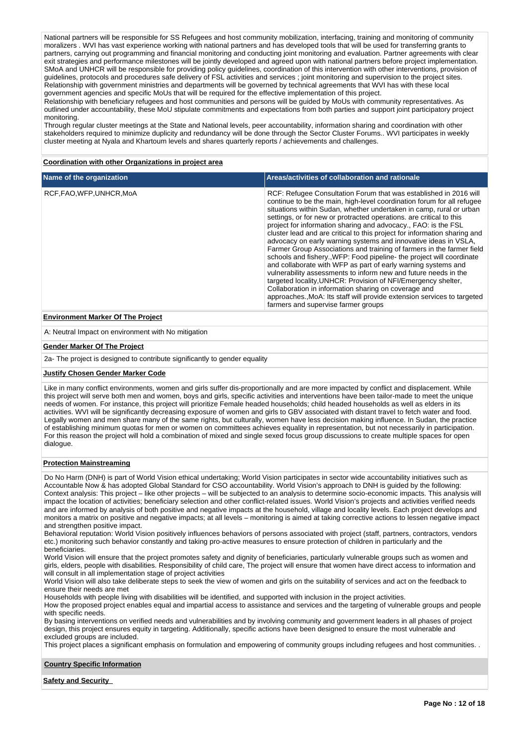National partners will be responsible for SS Refugees and host community mobilization, interfacing, training and monitoring of community moralizers . WVI has vast experience working with national partners and has developed tools that will be used for transferring grants to partners, carrying out programming and financial monitoring and conducting joint monitoring and evaluation. Partner agreements with clear exit strategies and performance milestones will be jointly developed and agreed upon with national partners before project implementation. SMoA and UNHCR will be responsible for providing policy guidelines, coordination of this intervention with other interventions, provision of guidelines, protocols and procedures safe delivery of FSL activities and services ; joint monitoring and supervision to the project sites. Relationship with government ministries and departments will be governed by technical agreements that WVI has with these local government agencies and specific MoUs that will be required for the effective implementation of this project.

Relationship with beneficiary refugees and host communities and persons will be guided by MoUs with community representatives. As outlined under accountability, these MoU stipulate commitments and expectations from both parties and support joint participatory project monitoring.

Through regular cluster meetings at the State and National levels, peer accountability, information sharing and coordination with other stakeholders required to minimize duplicity and redundancy will be done through the Sector Cluster Forums.. WVI participates in weekly cluster meeting at Nyala and Khartoum levels and shares quarterly reports / achievements and challenges.

# **Coordination with other Organizations in project area**

| Name of the organization | Areas/activities of collaboration and rationale                                                                                                                                                                                                                                                                                                                                                                                                                                                                                                                                                                                                                                                                                                                                                                                                                                                                                                                                                                                              |
|--------------------------|----------------------------------------------------------------------------------------------------------------------------------------------------------------------------------------------------------------------------------------------------------------------------------------------------------------------------------------------------------------------------------------------------------------------------------------------------------------------------------------------------------------------------------------------------------------------------------------------------------------------------------------------------------------------------------------------------------------------------------------------------------------------------------------------------------------------------------------------------------------------------------------------------------------------------------------------------------------------------------------------------------------------------------------------|
| RCF.FAO.WFP.UNHCR.MoA    | RCF: Refugee Consultation Forum that was established in 2016 will<br>continue to be the main, high-level coordination forum for all refugee<br>situations within Sudan, whether undertaken in camp, rural or urban<br>settings, or for new or protracted operations, are critical to this<br>project for information sharing and advocacy., FAO: is the FSL<br>cluster lead and are critical to this project for information sharing and<br>advocacy on early warning systems and innovative ideas in VSLA,<br>Farmer Group Associations and training of farmers in the farmer field<br>schools and fishery., WFP: Food pipeline- the project will coordinate<br>and collaborate with WFP as part of early warning systems and<br>vulnerability assessments to inform new and future needs in the<br>targeted locality, UNHCR: Provision of NFI/Emergency shelter,<br>Collaboration in information sharing on coverage and<br>approaches., MoA: Its staff will provide extension services to targeted<br>farmers and supervise farmer groups |

## **Environment Marker Of The Project**

A: Neutral Impact on environment with No mitigation

#### **Gender Marker Of The Project**

2a- The project is designed to contribute significantly to gender equality

#### **Justify Chosen Gender Marker Code**

Like in many conflict environments, women and girls suffer dis-proportionally and are more impacted by conflict and displacement. While this project will serve both men and women, boys and girls, specific activities and interventions have been tailor-made to meet the unique needs of women. For instance, this project will prioritize Female headed households; child headed households as well as elders in its activities. WVI will be significantly decreasing exposure of women and girls to GBV associated with distant travel to fetch water and food. Legally women and men share many of the same rights, but culturally, women have less decision making influence. In Sudan, the practice of establishing minimum quotas for men or women on committees achieves equality in representation, but not necessarily in participation. For this reason the project will hold a combination of mixed and single sexed focus group discussions to create multiple spaces for open dialogue.

#### **Protection Mainstreaming**

Do No Harm (DNH) is part of World Vision ethical undertaking; World Vision participates in sector wide accountability initiatives such as Accountable Now & has adopted Global Standard for CSO accountability. World Vision's approach to DNH is guided by the following: Context analysis: This project – like other projects – will be subjected to an analysis to determine socio-economic impacts. This analysis will impact the location of activities; beneficiary selection and other conflict-related issues. World Vision's projects and activities verified needs and are informed by analysis of both positive and negative impacts at the household, village and locality levels. Each project develops and monitors a matrix on positive and negative impacts; at all levels – monitoring is aimed at taking corrective actions to lessen negative impact and strengthen positive impact.

Behavioral reputation: World Vision positively influences behaviors of persons associated with project (staff, partners, contractors, vendors etc.) monitoring such behavior constantly and taking pro-active measures to ensure protection of children in particularly and the beneficiaries.

World Vision will ensure that the project promotes safety and dignity of beneficiaries, particularly vulnerable groups such as women and girls, elders, people with disabilities. Responsibility of child care, The project will ensure that women have direct access to information and will consult in all implementation stage of project activities

World Vision will also take deliberate steps to seek the view of women and girls on the suitability of services and act on the feedback to ensure their needs are met

Households with people living with disabilities will be identified, and supported with inclusion in the project activities.

How the proposed project enables equal and impartial access to assistance and services and the targeting of vulnerable groups and people with specific needs.

By basing interventions on verified needs and vulnerabilities and by involving community and government leaders in all phases of project design, this project ensures equity in targeting. Additionally, specific actions have been designed to ensure the most vulnerable and excluded groups are included.

This project places a significant emphasis on formulation and empowering of community groups including refugees and host communities. .

#### **Country Specific Information**

**Safety and Security**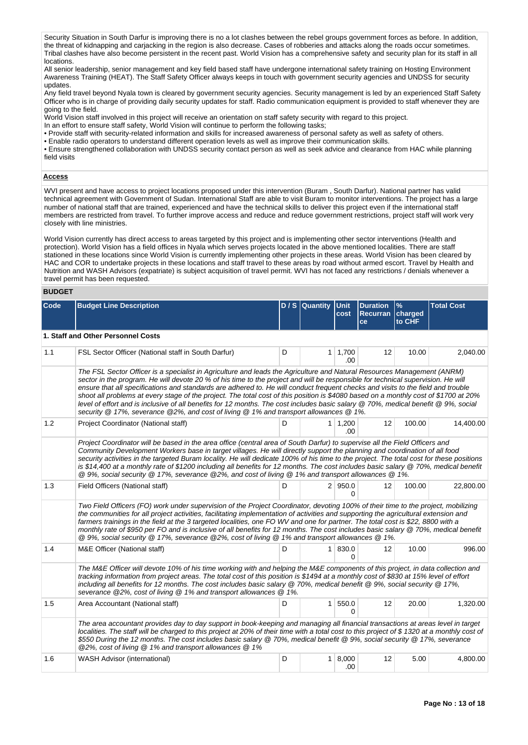Security Situation in South Darfur is improving there is no a lot clashes between the rebel groups government forces as before. In addition, the threat of kidnapping and carjacking in the region is also decrease. Cases of robberies and attacks along the roads occur sometimes. Tribal clashes have also become persistent in the recent past. World Vision has a comprehensive safety and security plan for its staff in all locations.

All senior leadership, senior management and key field based staff have undergone international safety training on Hosting Environment Awareness Training (HEAT). The Staff Safety Officer always keeps in touch with government security agencies and UNDSS for security updates.

Any field travel beyond Nyala town is cleared by government security agencies. Security management is led by an experienced Staff Safety Officer who is in charge of providing daily security updates for staff. Radio communication equipment is provided to staff whenever they are going to the field.

World Vision staff involved in this project will receive an orientation on staff safety security with regard to this project.

In an effort to ensure staff safety, World Vision will continue to perform the following tasks;

• Provide staff with security-related information and skills for increased awareness of personal safety as well as safety of others.

• Enable radio operators to understand different operation levels as well as improve their communication skills.

• Ensure strengthened collaboration with UNDSS security contact person as well as seek advice and clearance from HAC while planning field visits

## **Access**

WVI present and have access to project locations proposed under this intervention (Buram , South Darfur). National partner has valid technical agreement with Government of Sudan. International Staff are able to visit Buram to monitor interventions. The project has a large number of national staff that are trained, experienced and have the technical skills to deliver this project even if the international staff members are restricted from travel. To further improve access and reduce and reduce government restrictions, project staff will work very closely with line ministries.

World Vision currently has direct access to areas targeted by this project and is implementing other sector interventions (Health and protection). World Vision has a field offices in Nyala which serves projects located in the above mentioned localities. There are staff stationed in these locations since World Vision is currently implementing other projects in these areas. World Vision has been cleared by HAC and COR to undertake projects in these locations and staff travel to these areas by road without armed escort. Travel by Health and Nutrition and WASH Advisors (expatriate) is subject acquisition of travel permit. WVI has not faced any restrictions / denials whenever a travel permit has been requested.

## **BUDGET**

| Code | <b>Budget Line Description</b>                                                                                                                                                                                                                                                                                                                                                                                                                                                                                                                                                                                                                                                                                                                                         |   | D / S Quantity Unit | cost                     | <b>Duration</b><br>Recurran charged<br>ce | $\frac{9}{6}$<br>to CHF | <b>Total Cost</b> |
|------|------------------------------------------------------------------------------------------------------------------------------------------------------------------------------------------------------------------------------------------------------------------------------------------------------------------------------------------------------------------------------------------------------------------------------------------------------------------------------------------------------------------------------------------------------------------------------------------------------------------------------------------------------------------------------------------------------------------------------------------------------------------------|---|---------------------|--------------------------|-------------------------------------------|-------------------------|-------------------|
|      | 1. Staff and Other Personnel Costs                                                                                                                                                                                                                                                                                                                                                                                                                                                                                                                                                                                                                                                                                                                                     |   |                     |                          |                                           |                         |                   |
| 1.1  | FSL Sector Officer (National staff in South Darfur)                                                                                                                                                                                                                                                                                                                                                                                                                                                                                                                                                                                                                                                                                                                    | D |                     | $1 \mid 1,700$<br>.00    | 12                                        | 10.00                   | 2,040.00          |
|      | The FSL Sector Officer is a specialist in Agriculture and leads the Agriculture and Natural Resources Management (ANRM)<br>sector in the program. He will devote 20 % of his time to the project and will be responsible for technical supervision. He will<br>ensure that all specifications and standards are adhered to. He will conduct frequent checks and visits to the field and trouble<br>shoot all problems at every stage of the project. The total cost of this position is \$4080 based on a monthly cost of \$1700 at 20%<br>level of effort and is inclusive of all benefits for 12 months. The cost includes basic salary @ 70%, medical benefit @ 9%, social<br>security @ 17%, severance @2%, and cost of living @ 1% and transport allowances @ 1%. |   |                     |                          |                                           |                         |                   |
| 1.2  | Project Coordinator (National staff)                                                                                                                                                                                                                                                                                                                                                                                                                                                                                                                                                                                                                                                                                                                                   | D |                     | 1 1,200<br>.00           | 12                                        | 100.00                  | 14,400.00         |
|      | Project Coordinator will be based in the area office (central area of South Darfur) to supervise all the Field Officers and<br>Community Development Workers base in target villages. He will directly support the planning and coordination of all food<br>security activities in the targeted Buram locality. He will dedicate 100% of his time to the project. The total cost for these positions<br>is \$14,400 at a monthly rate of \$1200 including all benefits for 12 months. The cost includes basic salary @ 70%, medical benefit<br>@ 9%, social security @ 17%, severance @2%, and cost of living @ 1% and transport allowances @ 1%.                                                                                                                      |   |                     |                          |                                           |                         |                   |
| 1.3  | Field Officers (National staff)                                                                                                                                                                                                                                                                                                                                                                                                                                                                                                                                                                                                                                                                                                                                        | D |                     | 2   950.0<br>0           | 12                                        | 100.00                  | 22,800.00         |
|      | Two Field Officers (FO) work under supervision of the Project Coordinator, devoting 100% of their time to the project, mobilizing<br>the communities for all project activities, facilitating implementation of activities and supporting the agricultural extension and<br>farmers trainings in the field at the 3 targeted localities, one FO WV and one for partner. The total cost is \$22, 8800 with a<br>monthly rate of \$950 per FO and is inclusive of all benefits for 12 months. The cost includes basic salary @ 70%, medical benefit<br>@ 9%, social security @ 17%, severance @2%, cost of living @ 1% and transport allowances @ 1%.                                                                                                                    |   |                     |                          |                                           |                         |                   |
| 1.4  | M&E Officer (National staff)                                                                                                                                                                                                                                                                                                                                                                                                                                                                                                                                                                                                                                                                                                                                           | D |                     | $1 \, 830.0$<br>$\Omega$ | 12                                        | 10.00                   | 996.00            |
|      | The M&E Officer will devote 10% of his time working with and helping the M&E components of this project, in data collection and<br>tracking information from project areas. The total cost of this position is \$1494 at a monthly cost of \$830 at 15% level of effort<br>including all benefits for 12 months. The cost includes basic salary @ 70%, medical benefit @ 9%, social security @ 17%,<br>severance @2%, cost of living @ 1% and transport allowances @ 1%.                                                                                                                                                                                                                                                                                               |   |                     |                          |                                           |                         |                   |
| 1.5  | Area Accountant (National staff)                                                                                                                                                                                                                                                                                                                                                                                                                                                                                                                                                                                                                                                                                                                                       | D |                     | 1   550.0<br>$\Omega$    | 12                                        | 20.00                   | 1,320.00          |
|      | The area accountant provides day to day support in book-keeping and managing all financial transactions at areas level in target<br>localities. The staff will be charged to this project at 20% of their time with a total cost to this project of \$1320 at a monthly cost of<br>\$550 During the 12 months. The cost includes basic salary @ 70%, medical benefit @ 9%, social security @ 17%, severance<br>@2%, cost of living @ 1% and transport allowances @ 1%                                                                                                                                                                                                                                                                                                  |   |                     |                          |                                           |                         |                   |
| 1.6  | <b>WASH Advisor (international)</b>                                                                                                                                                                                                                                                                                                                                                                                                                                                                                                                                                                                                                                                                                                                                    | D |                     | 1   8,000<br>.00         | 12                                        | 5.00                    | 4,800.00          |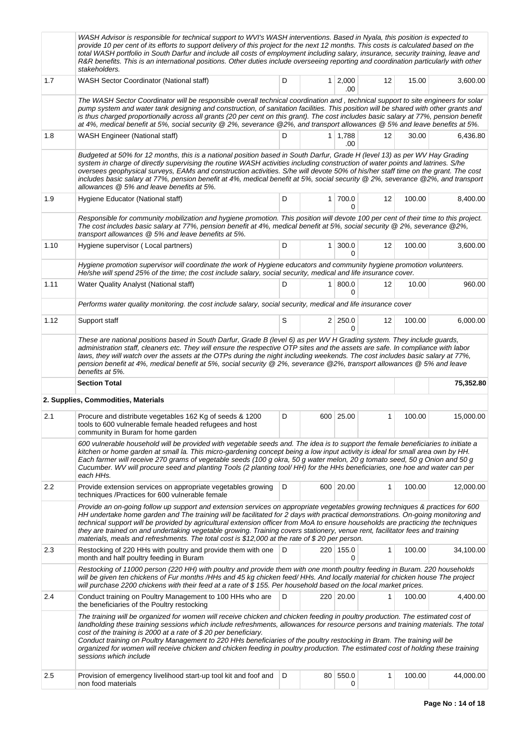|      | WASH Advisor is responsible for technical support to WVI's WASH interventions. Based in Nyala, this position is expected to<br>provide 10 per cent of its efforts to support delivery of this project for the next 12 months. This costs is calculated based on the<br>total WASH portfolio in South Darfur and include all costs of employment including salary, insurance, security training, leave and<br>R&R benefits. This is an international positions. Other duties include overseeing reporting and coordination particularly with other<br>stakeholders.                                                                    |   |                |                       |    |        |           |
|------|---------------------------------------------------------------------------------------------------------------------------------------------------------------------------------------------------------------------------------------------------------------------------------------------------------------------------------------------------------------------------------------------------------------------------------------------------------------------------------------------------------------------------------------------------------------------------------------------------------------------------------------|---|----------------|-----------------------|----|--------|-----------|
| 1.7  | <b>WASH Sector Coordinator (National staff)</b>                                                                                                                                                                                                                                                                                                                                                                                                                                                                                                                                                                                       | D |                | 1 2,000<br>.00        | 12 | 15.00  | 3,600.00  |
|      | The WASH Sector Coordinator will be responsible overall technical coordination and, technical support to site engineers for solar<br>pump system and water tank designing and construction, of sanitation facilities. This position will be shared with other grants and<br>is thus charged proportionally across all grants (20 per cent on this grant). The cost includes basic salary at 77%, pension benefit<br>at 4%, medical benefit at 5%, social security @ 2%, severance @2%, and transport allowances @ 5% and leave benefits at 5%.                                                                                        |   |                |                       |    |        |           |
| 1.8  | WASH Engineer (National staff)                                                                                                                                                                                                                                                                                                                                                                                                                                                                                                                                                                                                        | D |                | $1 \mid 1,788$<br>.00 | 12 | 30.00  | 6,436.80  |
|      | Budgeted at 50% for 12 months, this is a national position based in South Darfur, Grade H (level 13) as per WV Hay Grading<br>system in charge of directly supervising the routine WASH activities including construction of water points and latrines. S/he<br>oversees geophysical surveys, EAMs and construction activities. S/he will devote 50% of his/her staff time on the grant. The cost<br>includes basic salary at 77%, pension benefit at 4%, medical benefit at 5%, social security @ 2%, severance @2%, and transport<br>allowances @ 5% and leave benefits at 5%.                                                      |   |                |                       |    |        |           |
| 1.9  | Hygiene Educator (National staff)                                                                                                                                                                                                                                                                                                                                                                                                                                                                                                                                                                                                     | D | 1 <sup>1</sup> | 700.0<br>0            | 12 | 100.00 | 8,400.00  |
|      | Responsible for community mobilization and hygiene promotion. This position will devote 100 per cent of their time to this project.<br>The cost includes basic salary at 77%, pension benefit at 4%, medical benefit at 5%, social security @ 2%, severance @2%,<br>transport allowances @ 5% and leave benefits at 5%.                                                                                                                                                                                                                                                                                                               |   |                |                       |    |        |           |
| 1.10 | Hygiene supervisor (Local partners)                                                                                                                                                                                                                                                                                                                                                                                                                                                                                                                                                                                                   | D | $\mathbf{1}$   | 300.0<br>$\Omega$     | 12 | 100.00 | 3,600.00  |
|      | Hygiene promotion supervisor will coordinate the work of Hygiene educators and community hygiene promotion volunteers.<br>He/she will spend 25% of the time; the cost include salary, social security, medical and life insurance cover.                                                                                                                                                                                                                                                                                                                                                                                              |   |                |                       |    |        |           |
| 1.11 | Water Quality Analyst (National staff)                                                                                                                                                                                                                                                                                                                                                                                                                                                                                                                                                                                                | D | $\mathbf{1}$   | 800.0<br>0            | 12 | 10.00  | 960.00    |
|      | Performs water quality monitoring. the cost include salary, social security, medical and life insurance cover                                                                                                                                                                                                                                                                                                                                                                                                                                                                                                                         |   |                |                       |    |        |           |
| 1.12 | Support staff                                                                                                                                                                                                                                                                                                                                                                                                                                                                                                                                                                                                                         | S |                | 2 250.0<br>0          | 12 | 100.00 | 6,000.00  |
|      | These are national positions based in South Darfur, Grade B (level 6) as per WV H Grading system. They include guards,<br>administration staff, cleaners etc. They will ensure the respective OTP sites and the assets are safe. In compliance with labor<br>laws, they will watch over the assets at the OTPs during the night including weekends. The cost includes basic salary at 77%,<br>pension benefit at 4%, medical benefit at 5%, social security @ 2%, severance @2%, transport allowances @ 5% and leave<br>benefits at 5%.                                                                                               |   |                |                       |    |        |           |
|      | <b>Section Total</b>                                                                                                                                                                                                                                                                                                                                                                                                                                                                                                                                                                                                                  |   |                |                       |    |        | 75,352.80 |
|      |                                                                                                                                                                                                                                                                                                                                                                                                                                                                                                                                                                                                                                       |   |                |                       |    |        |           |
|      | 2. Supplies, Commodities, Materials                                                                                                                                                                                                                                                                                                                                                                                                                                                                                                                                                                                                   |   |                |                       |    |        |           |
| 2.1  | Procure and distribute vegetables 162 Kg of seeds & 1200<br>tools to 600 vulnerable female headed refugees and host<br>community in Buram for home garden                                                                                                                                                                                                                                                                                                                                                                                                                                                                             | D | 600            | 25.00                 | 1  | 100.00 | 15,000.00 |
|      | 600 vulnerable household will be provided with vegetable seeds and. The idea is to support the female beneficiaries to initiate a<br>kitchen or home garden at small la. This micro-gardening concept being a low input activity is ideal for small area own by HH.<br>Each farmer will receive 270 grams of vegetable seeds (100 g okra, 50 g water melon, 20 g tomato seed, 50 g Onion and 50 g<br>Cucumber. WV will procure seed and planting Tools (2 planting tool/HH) for the HHs beneficiaries, one hoe and water can per<br>each HHs.                                                                                         |   |                |                       |    |        |           |
| 2.2  | Provide extension services on appropriate vegetables growing<br>techniques /Practices for 600 vulnerable female                                                                                                                                                                                                                                                                                                                                                                                                                                                                                                                       | D |                | 600 20.00             | 1  | 100.00 | 12,000.00 |
|      | Provide an on-going follow up support and extension services on appropriate vegetables growing techniques & practices for 600<br>HH undertake home garden and The training will be facilitated for 2 days with practical demonstrations. On-going monitoring and<br>technical support will be provided by agricultural extension officer from MoA to ensure households are practicing the techniques<br>they are trained on and undertaking vegetable growing. Training covers stationery, venue rent, facilitator fees and training<br>materials, meals and refreshments. The total cost is \$12,000 at the rate of \$20 per person. |   |                |                       |    |        |           |
| 2.3  | Restocking of 220 HHs with poultry and provide them with one<br>month and half poultry feeding in Buram                                                                                                                                                                                                                                                                                                                                                                                                                                                                                                                               | D |                | 220 155.0<br>0        | 1  | 100.00 | 34,100.00 |
|      | Restocking of 11000 person (220 HH) with poultry and provide them with one month poultry feeding in Buram. 220 households<br>will be given ten chickens of Fur months /HHs and 45 kg chicken feed/ HHs. And locally material for chicken house The project<br>will purchase 2200 chickens with their feed at a rate of \$155. Per household based on the local market prices.                                                                                                                                                                                                                                                         |   |                |                       |    |        |           |
| 2.4  | Conduct training on Poultry Management to 100 HHs who are<br>the beneficiaries of the Poultry restocking                                                                                                                                                                                                                                                                                                                                                                                                                                                                                                                              | D |                | 220 20.00             | 1  | 100.00 | 4,400.00  |
|      | The training will be organized for women will receive chicken and chicken feeding in poultry production. The estimated cost of<br>landholding these training sessions which include refreshments, allowances for resource persons and training materials. The total<br>cost of the training is 2000 at a rate of \$20 per beneficiary.<br>Conduct training on Poultry Management to 220 HHs beneficiaries of the poultry restocking in Bram. The training will be<br>organized for women will receive chicken and chicken feeding in poultry production. The estimated cost of holding these training<br>sessions which include       |   |                |                       |    |        |           |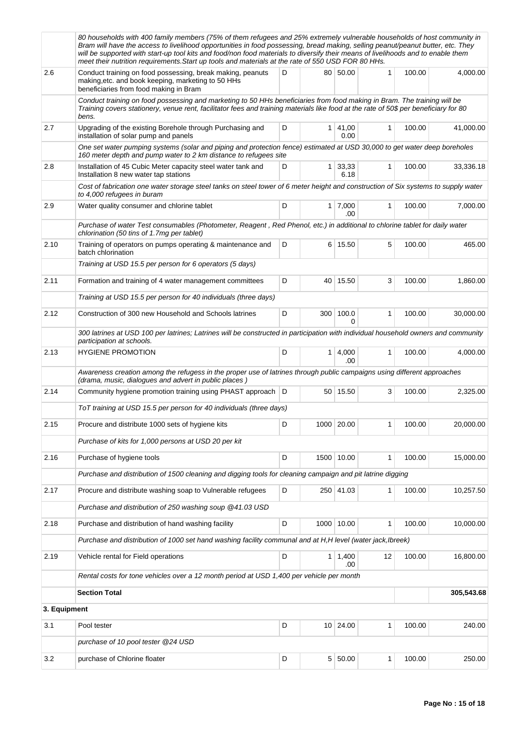|              | 80 households with 400 family members (75% of them refugees and 25% extremely vulnerable households of host community in<br>Bram will have the access to livelihood opportunities in food possessing, bread making, selling peanut/peanut butter, etc. They<br>will be supported with start-up tool kits and food/non food materials to diversify their means of livelihoods and to enable them<br>meet their nutrition requirements. Start up tools and materials at the rate of 550 USD FOR 80 HHs. |   |                       |              |        |            |
|--------------|-------------------------------------------------------------------------------------------------------------------------------------------------------------------------------------------------------------------------------------------------------------------------------------------------------------------------------------------------------------------------------------------------------------------------------------------------------------------------------------------------------|---|-----------------------|--------------|--------|------------|
| 2.6          | Conduct training on food possessing, break making, peanuts<br>making, etc. and book keeping, marketing to 50 HHs<br>beneficiaries from food making in Bram                                                                                                                                                                                                                                                                                                                                            | D | 80 50.00              | 1            | 100.00 | 4,000.00   |
|              | Conduct training on food possessing and marketing to 50 HHs beneficiaries from food making in Bram. The training will be<br>Training covers stationery, venue rent, facilitator fees and training materials like food at the rate of 50\$ per beneficiary for 80<br>bens.                                                                                                                                                                                                                             |   |                       |              |        |            |
| 2.7          | Upgrading of the existing Borehole through Purchasing and<br>installation of solar pump and panels                                                                                                                                                                                                                                                                                                                                                                                                    | D | $1 \, 41,00$<br>0.00  | $\mathbf{1}$ | 100.00 | 41,000.00  |
|              | One set water pumping systems (solar and piping and protection fence) estimated at USD 30,000 to get water deep boreholes<br>160 meter depth and pump water to 2 km distance to refugees site                                                                                                                                                                                                                                                                                                         |   |                       |              |        |            |
| 2.8          | Installation of 45 Cubic Meter capacity steel water tank and<br>Installation 8 new water tap stations                                                                                                                                                                                                                                                                                                                                                                                                 | D | 1 33,33<br>6.18       | $\mathbf{1}$ | 100.00 | 33,336.18  |
|              | Cost of fabrication one water storage steel tanks on steel tower of 6 meter height and construction of Six systems to supply water<br>to 4,000 refugees in buram                                                                                                                                                                                                                                                                                                                                      |   |                       |              |        |            |
| 2.9          | Water quality consumer and chlorine tablet                                                                                                                                                                                                                                                                                                                                                                                                                                                            | D | $1 \mid 7,000$<br>.00 | $\mathbf{1}$ | 100.00 | 7,000.00   |
|              | Purchase of water Test consumables (Photometer, Reagent, Red Phenol, etc.) in additional to chlorine tablet for daily water<br>chlorination (50 tins of 1.7mg per tablet)                                                                                                                                                                                                                                                                                                                             |   |                       |              |        |            |
| 2.10         | Training of operators on pumps operating & maintenance and<br>batch chlorination                                                                                                                                                                                                                                                                                                                                                                                                                      | D | 6 15.50               | 5            | 100.00 | 465.00     |
|              | Training at USD 15.5 per person for 6 operators (5 days)                                                                                                                                                                                                                                                                                                                                                                                                                                              |   |                       |              |        |            |
| 2.11         | Formation and training of 4 water management committees                                                                                                                                                                                                                                                                                                                                                                                                                                               | D | 40 15.50              | 3            | 100.00 | 1,860.00   |
|              | Training at USD 15.5 per person for 40 individuals (three days)                                                                                                                                                                                                                                                                                                                                                                                                                                       |   |                       |              |        |            |
| 2.12         | Construction of 300 new Household and Schools latrines                                                                                                                                                                                                                                                                                                                                                                                                                                                | D | 300 100.0<br>0        | 1            | 100.00 | 30,000.00  |
|              | 300 latrines at USD 100 per latrines; Latrines will be constructed in participation with individual household owners and community<br>participation at schools.                                                                                                                                                                                                                                                                                                                                       |   |                       |              |        |            |
| 2.13         | <b>HYGIENE PROMOTION</b>                                                                                                                                                                                                                                                                                                                                                                                                                                                                              | D | $1 \mid 4,000$<br>.00 | $\mathbf{1}$ | 100.00 | 4,000.00   |
|              | Awareness creation among the refugess in the proper use of latrines through public campaigns using different approaches<br>(drama, music, dialogues and advert in public places)                                                                                                                                                                                                                                                                                                                      |   |                       |              |        |            |
| 2.14         | Community hygiene promotion training using PHAST approach   D                                                                                                                                                                                                                                                                                                                                                                                                                                         |   | 50 15.50              | 3            | 100.00 | 2,325.00   |
|              | ToT training at USD 15.5 per person for 40 individuals (three days)                                                                                                                                                                                                                                                                                                                                                                                                                                   |   |                       |              |        |            |
| 2.15         | Procure and distribute 1000 sets of hygiene kits                                                                                                                                                                                                                                                                                                                                                                                                                                                      | D | 1000 20.00            | 1            | 100.00 | 20,000.00  |
|              | Purchase of kits for 1,000 persons at USD 20 per kit                                                                                                                                                                                                                                                                                                                                                                                                                                                  |   |                       |              |        |            |
| 2.16         | Purchase of hygiene tools                                                                                                                                                                                                                                                                                                                                                                                                                                                                             | D | 1500 10.00            | 1            | 100.00 | 15,000.00  |
|              | Purchase and distribution of 1500 cleaning and digging tools for cleaning campaign and pit latrine digging                                                                                                                                                                                                                                                                                                                                                                                            |   |                       |              |        |            |
| 2.17         | Procure and distribute washing soap to Vulnerable refugees                                                                                                                                                                                                                                                                                                                                                                                                                                            | D | 250 41.03             | 1            | 100.00 | 10,257.50  |
|              | Purchase and distribution of 250 washing soup @41.03 USD                                                                                                                                                                                                                                                                                                                                                                                                                                              |   |                       |              |        |            |
| 2.18         | Purchase and distribution of hand washing facility                                                                                                                                                                                                                                                                                                                                                                                                                                                    | D | 1000 10.00            | 1            | 100.00 | 10,000.00  |
|              | Purchase and distribution of 1000 set hand washing facility communal and at H, H level (water jack, Ibreek)                                                                                                                                                                                                                                                                                                                                                                                           |   |                       |              |        |            |
| 2.19         | Vehicle rental for Field operations                                                                                                                                                                                                                                                                                                                                                                                                                                                                   | D | $1 \mid 1,400$<br>.00 | 12           | 100.00 | 16,800.00  |
|              | Rental costs for tone vehicles over a 12 month period at USD 1,400 per vehicle per month                                                                                                                                                                                                                                                                                                                                                                                                              |   |                       |              |        |            |
|              | <b>Section Total</b>                                                                                                                                                                                                                                                                                                                                                                                                                                                                                  |   |                       |              |        | 305,543.68 |
| 3. Equipment |                                                                                                                                                                                                                                                                                                                                                                                                                                                                                                       |   |                       |              |        |            |
| 3.1          | Pool tester                                                                                                                                                                                                                                                                                                                                                                                                                                                                                           | D | 10 24.00              | $\mathbf{1}$ | 100.00 | 240.00     |
|              | purchase of 10 pool tester @24 USD                                                                                                                                                                                                                                                                                                                                                                                                                                                                    |   |                       |              |        |            |
| 3.2          | purchase of Chlorine floater                                                                                                                                                                                                                                                                                                                                                                                                                                                                          | D | 5 50.00               | 1            | 100.00 | 250.00     |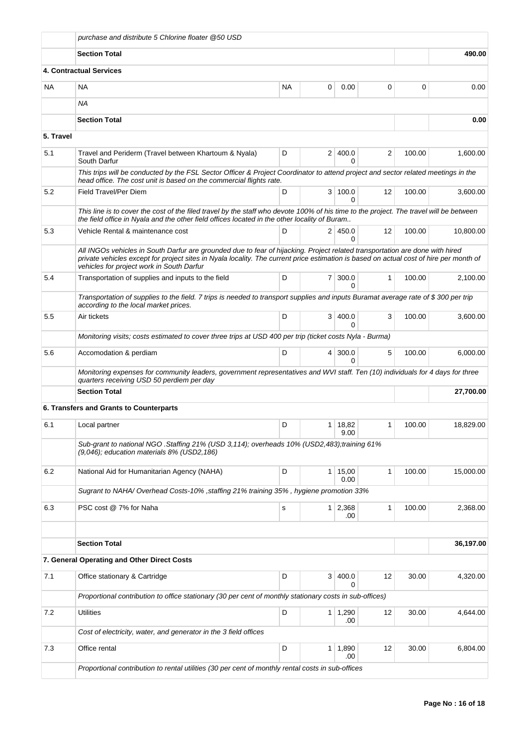|           | purchase and distribute 5 Chlorine floater @50 USD                                                                                                                                                                                                                                                                  |           |                |                       |                |        |           |
|-----------|---------------------------------------------------------------------------------------------------------------------------------------------------------------------------------------------------------------------------------------------------------------------------------------------------------------------|-----------|----------------|-----------------------|----------------|--------|-----------|
|           | <b>Section Total</b>                                                                                                                                                                                                                                                                                                |           |                |                       |                |        | 490.00    |
|           | <b>4. Contractual Services</b>                                                                                                                                                                                                                                                                                      |           |                |                       |                |        |           |
| NA        | NA                                                                                                                                                                                                                                                                                                                  | <b>NA</b> | 0              | 0.00                  | 0              | 0      | 0.00      |
|           | NA.                                                                                                                                                                                                                                                                                                                 |           |                |                       |                |        |           |
|           | <b>Section Total</b>                                                                                                                                                                                                                                                                                                |           |                |                       |                |        | 0.00      |
| 5. Travel |                                                                                                                                                                                                                                                                                                                     |           |                |                       |                |        |           |
| 5.1       | Travel and Periderm (Travel between Khartoum & Nyala)<br>South Darfur                                                                                                                                                                                                                                               | D         |                | 2 400.0<br>0          | $\overline{2}$ | 100.00 | 1.600.00  |
|           | This trips will be conducted by the FSL Sector Officer & Project Coordinator to attend project and sector related meetings in the<br>head office. The cost unit is based on the commercial flights rate.                                                                                                            |           |                |                       |                |        |           |
| 5.2       | Field Travel/Per Diem                                                                                                                                                                                                                                                                                               | D         |                | 3 100.0<br>0          | 12             | 100.00 | 3,600.00  |
|           | This line is to cover the cost of the filed travel by the staff who devote 100% of his time to the project. The travel will be between<br>the field office in Nyala and the other field offices located in the other locality of Buram                                                                              |           |                |                       |                |        |           |
| 5.3       | Vehicle Rental & maintenance cost                                                                                                                                                                                                                                                                                   | D         |                | 2 450.0<br>0          | 12             | 100.00 | 10,800.00 |
|           | All INGOs vehicles in South Darfur are grounded due to fear of hijacking. Project related transportation are done with hired<br>private vehicles except for project sites in Nyala locality. The current price estimation is based on actual cost of hire per month of<br>vehicles for project work in South Darfur |           |                |                       |                |        |           |
| 5.4       | Transportation of supplies and inputs to the field                                                                                                                                                                                                                                                                  | D         | 7 <sup>1</sup> | 300.0<br>0            | $\mathbf{1}$   | 100.00 | 2,100.00  |
|           | Transportation of supplies to the field. 7 trips is needed to transport supplies and inputs Buramat average rate of \$300 per trip<br>according to the local market prices.                                                                                                                                         |           |                |                       |                |        |           |
| 5.5       | Air tickets                                                                                                                                                                                                                                                                                                         | D         |                | 3   400.0<br>0        | 3              | 100.00 | 3,600.00  |
|           | Monitoring visits; costs estimated to cover three trips at USD 400 per trip (ticket costs Nyla - Burma)                                                                                                                                                                                                             |           |                |                       |                |        |           |
| 5.6       | Accomodation & perdiam                                                                                                                                                                                                                                                                                              | D         | 4              | 300.0<br>0            | 5              | 100.00 | 6,000.00  |
|           | Monitoring expenses for community leaders, government representatives and WVI staff. Ten (10) individuals for 4 days for three<br>quarters receiving USD 50 perdiem per day                                                                                                                                         |           |                |                       |                |        |           |
|           | <b>Section Total</b>                                                                                                                                                                                                                                                                                                |           |                |                       |                |        | 27,700.00 |
|           | 6. Transfers and Grants to Counterparts                                                                                                                                                                                                                                                                             |           |                |                       |                |        |           |
| 6.1       | Local partner                                                                                                                                                                                                                                                                                                       | D         |                | 1 18,82<br>9.00       | 1              | 100.00 | 18,829.00 |
|           | Sub-grant to national NGO .Staffing 21% (USD 3,114); overheads 10% (USD2,483);training 61%<br>(9,046); education materials 8% (USD2,186)                                                                                                                                                                            |           |                |                       |                |        |           |
| 6.2       | National Aid for Humanitarian Agency (NAHA)                                                                                                                                                                                                                                                                         | D         | $\mathbf{1}$   | 15,00<br>0.00         | $\mathbf{1}$   | 100.00 | 15.000.00 |
|           | Sugrant to NAHA/ Overhead Costs-10% , staffing 21% training 35%, hygiene promotion 33%                                                                                                                                                                                                                              |           |                |                       |                |        |           |
| 6.3       | PSC cost @ 7% for Naha                                                                                                                                                                                                                                                                                              | s         | $\mathbf{1}$   | 2,368<br>.00          | 1              | 100.00 | 2,368.00  |
|           |                                                                                                                                                                                                                                                                                                                     |           |                |                       |                |        |           |
|           | <b>Section Total</b>                                                                                                                                                                                                                                                                                                |           |                |                       |                |        | 36,197.00 |
|           | 7. General Operating and Other Direct Costs                                                                                                                                                                                                                                                                         |           |                |                       |                |        |           |
| 7.1       | Office stationary & Cartridge                                                                                                                                                                                                                                                                                       | D         | 3              | 400.0<br>0            | 12             | 30.00  | 4,320.00  |
|           | Proportional contribution to office stationary (30 per cent of monthly stationary costs in sub-offices)                                                                                                                                                                                                             |           |                |                       |                |        |           |
| 7.2       | <b>Utilities</b>                                                                                                                                                                                                                                                                                                    | D         |                | $1 \mid 1,290$<br>.00 | 12             | 30.00  | 4,644.00  |
|           | Cost of electricity, water, and generator in the 3 field offices                                                                                                                                                                                                                                                    |           |                |                       |                |        |           |
| 7.3       | Office rental                                                                                                                                                                                                                                                                                                       | D         | $\mathbf{1}$   | 1,890<br>.00          | 12             | 30.00  | 6,804.00  |
|           | Proportional contribution to rental utilities (30 per cent of monthly rental costs in sub-offices                                                                                                                                                                                                                   |           |                |                       |                |        |           |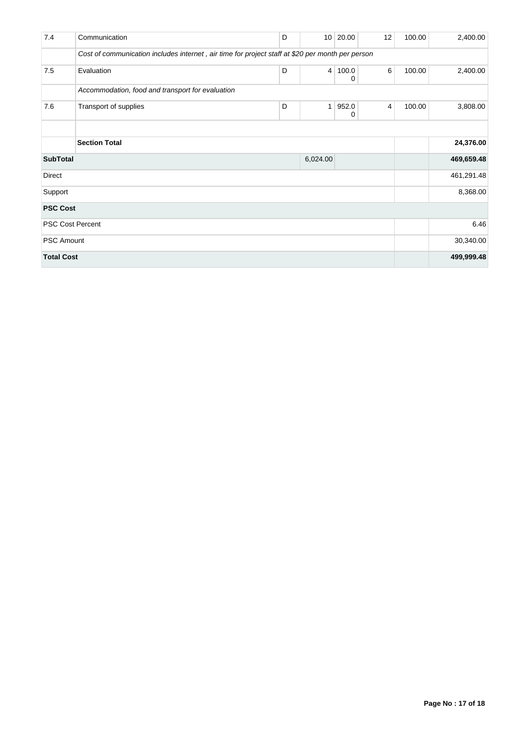| 7.4               | Communication                                                                                    | D |              | 10 20.00   | 12 | 100.00 | 2,400.00   |
|-------------------|--------------------------------------------------------------------------------------------------|---|--------------|------------|----|--------|------------|
|                   | Cost of communication includes internet, air time for project staff at \$20 per month per person |   |              |            |    |        |            |
| 7.5               | Evaluation                                                                                       | D | 4            | 100.0<br>0 | 6  | 100.00 | 2,400.00   |
|                   | Accommodation, food and transport for evaluation                                                 |   |              |            |    |        |            |
| 7.6               | Transport of supplies                                                                            | D | $\mathbf{1}$ | 952.0<br>0 | 4  | 100.00 | 3,808.00   |
|                   |                                                                                                  |   |              |            |    |        |            |
|                   | <b>Section Total</b>                                                                             |   |              |            |    |        | 24,376.00  |
| <b>SubTotal</b>   |                                                                                                  |   | 6,024.00     |            |    |        | 469,659.48 |
| Direct            |                                                                                                  |   |              |            |    |        | 461,291.48 |
| Support           |                                                                                                  |   |              |            |    |        | 8,368.00   |
| <b>PSC Cost</b>   |                                                                                                  |   |              |            |    |        |            |
|                   | <b>PSC Cost Percent</b>                                                                          |   |              |            |    |        | 6.46       |
| <b>PSC Amount</b> |                                                                                                  |   |              |            |    |        | 30,340.00  |
| <b>Total Cost</b> |                                                                                                  |   |              |            |    |        | 499,999.48 |